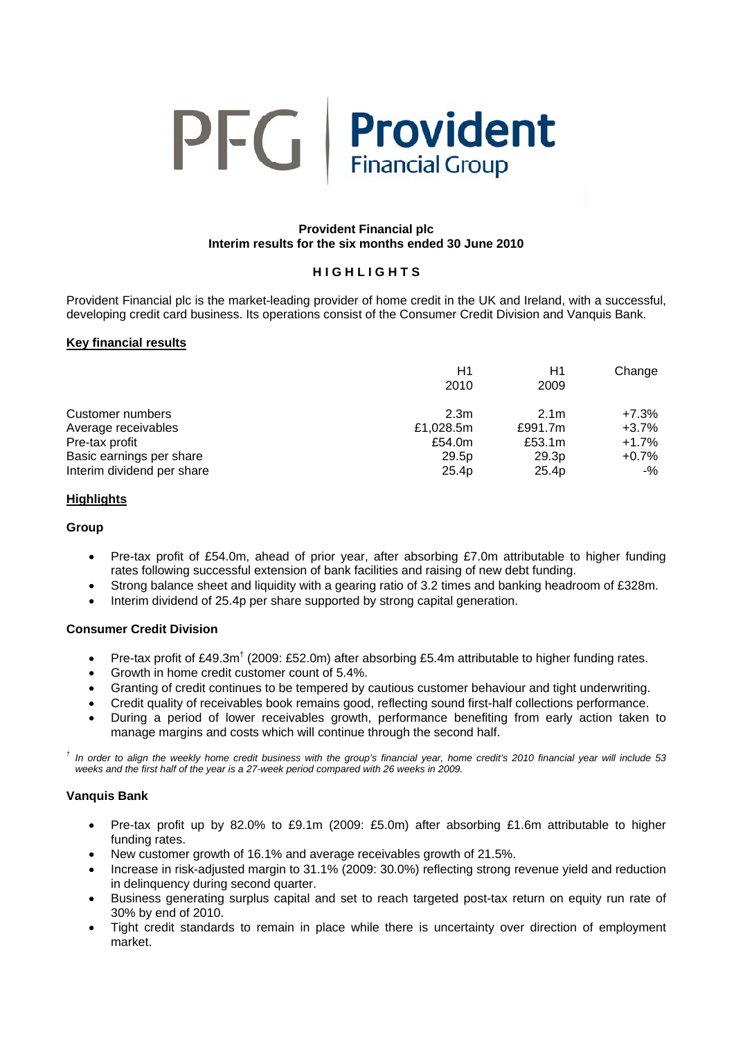# PFG | Provident

# **Provident Financial plc Interim results for the six months ended 30 June 2010**

# **H I G H L I G H T S**

Provident Financial plc is the market-leading provider of home credit in the UK and Ireland, with a successful, developing credit card business. Its operations consist of the Consumer Credit Division and Vanquis Bank.

# **Key financial results**

|                            | H1<br>2010       | H1<br>2009        | Change  |
|----------------------------|------------------|-------------------|---------|
| Customer numbers           | 2.3 <sub>m</sub> | 2.1 <sub>m</sub>  | +7.3%   |
| Average receivables        | £1,028.5m        | £991.7m           | $+3.7%$ |
| Pre-tax profit             | £54.0m           | £53.1m            | $+1.7%$ |
| Basic earnings per share   | 29.5p            | 29.3 <sub>p</sub> | $+0.7%$ |
| Interim dividend per share | 25.4p            | 25.4p             | -%      |

# **Highlights**

### **Group**

- Pre-tax profit of £54.0m, ahead of prior year, after absorbing £7.0m attributable to higher funding rates following successful extension of bank facilities and raising of new debt funding.
- Strong balance sheet and liquidity with a gearing ratio of 3.2 times and banking headroom of £328m.
- Interim dividend of 25.4p per share supported by strong capital generation.

# **Consumer Credit Division**

- Pre-tax profit of £49.3m<sup>†</sup> (2009: £52.0m) after absorbing £5.4m attributable to higher funding rates.
- Growth in home credit customer count of 5.4%.
- Granting of credit continues to be tempered by cautious customer behaviour and tight underwriting.
- Credit quality of receivables book remains good, reflecting sound first-half collections performance.
- During a period of lower receivables growth, performance benefiting from early action taken to manage margins and costs which will continue through the second half.

*† In order to align the weekly home credit business with the group's financial year, home credit's 2010 financial year will include 53 weeks and the first half of the year is a 27-week period compared with 26 weeks in 2009.* 

### **Vanquis Bank**

- Pre-tax profit up by 82.0% to £9.1m (2009: £5.0m) after absorbing £1.6m attributable to higher funding rates.
- New customer growth of 16.1% and average receivables growth of 21.5%.
- Increase in risk-adjusted margin to 31.1% (2009: 30.0%) reflecting strong revenue yield and reduction in delinquency during second quarter.
- Business generating surplus capital and set to reach targeted post-tax return on equity run rate of 30% by end of 2010.
- Tight credit standards to remain in place while there is uncertainty over direction of employment market.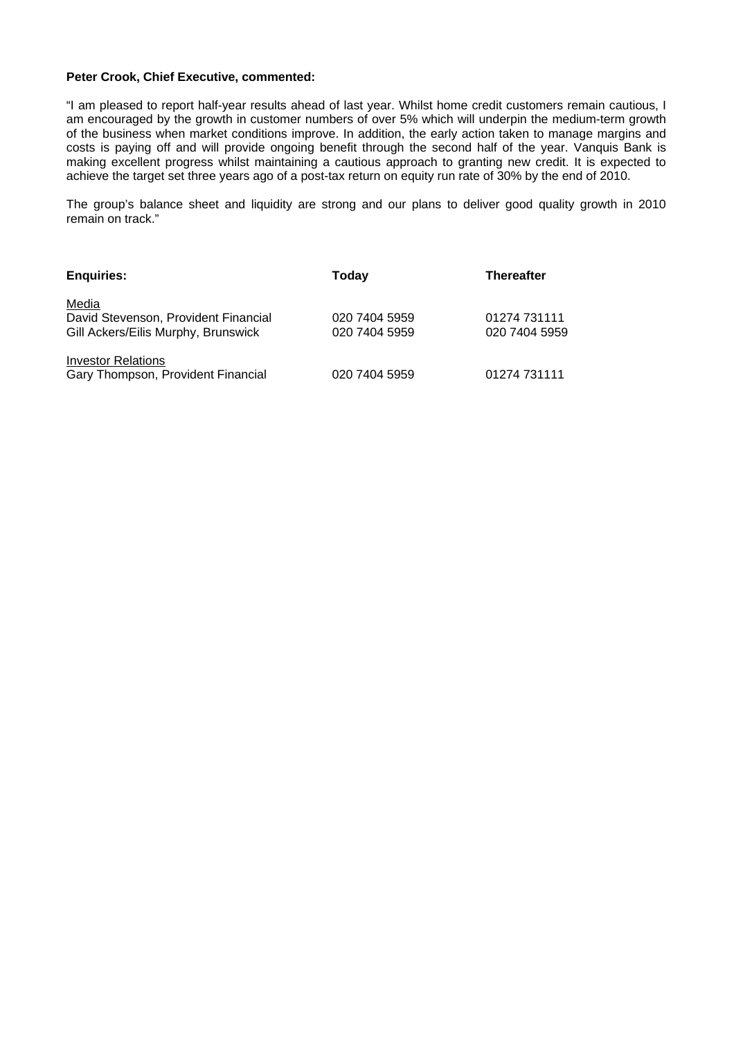### **Peter Crook, Chief Executive, commented:**

"I am pleased to report half-year results ahead of last year. Whilst home credit customers remain cautious, I am encouraged by the growth in customer numbers of over 5% which will underpin the medium-term growth of the business when market conditions improve. In addition, the early action taken to manage margins and costs is paying off and will provide ongoing benefit through the second half of the year. Vanquis Bank is making excellent progress whilst maintaining a cautious approach to granting new credit. It is expected to achieve the target set three years ago of a post-tax return on equity run rate of 30% by the end of 2010.

The group's balance sheet and liquidity are strong and our plans to deliver good quality growth in 2010 remain on track."

| <b>Enquiries:</b>                    | Today         | <b>Thereafter</b> |
|--------------------------------------|---------------|-------------------|
| <b>Media</b>                         |               |                   |
| David Stevenson, Provident Financial | 020 7404 5959 | 01274 731111      |
| Gill Ackers/Eilis Murphy, Brunswick  | 020 7404 5959 | 020 7404 5959     |
| <b>Investor Relations</b>            |               |                   |
| Gary Thompson, Provident Financial   | 020 7404 5959 | 01274 731111      |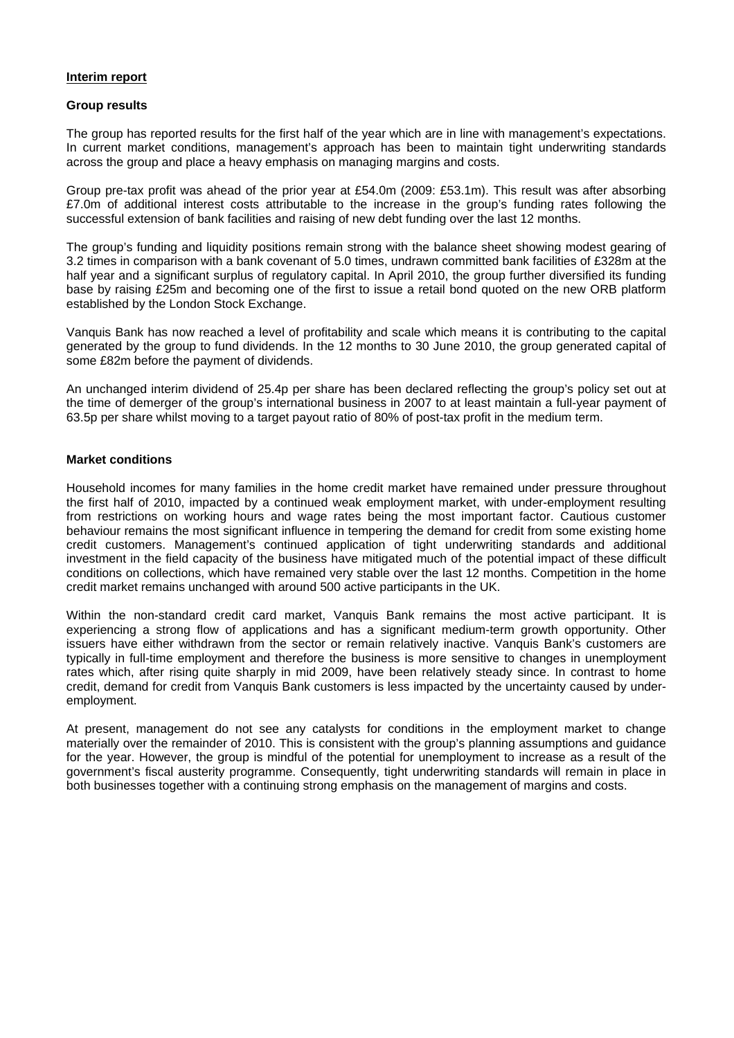### **Interim report**

### **Group results**

The group has reported results for the first half of the year which are in line with management's expectations. In current market conditions, management's approach has been to maintain tight underwriting standards across the group and place a heavy emphasis on managing margins and costs.

Group pre-tax profit was ahead of the prior year at £54.0m (2009: £53.1m). This result was after absorbing £7.0m of additional interest costs attributable to the increase in the group's funding rates following the successful extension of bank facilities and raising of new debt funding over the last 12 months.

The group's funding and liquidity positions remain strong with the balance sheet showing modest gearing of 3.2 times in comparison with a bank covenant of 5.0 times, undrawn committed bank facilities of £328m at the half year and a significant surplus of regulatory capital. In April 2010, the group further diversified its funding base by raising £25m and becoming one of the first to issue a retail bond quoted on the new ORB platform established by the London Stock Exchange.

Vanquis Bank has now reached a level of profitability and scale which means it is contributing to the capital generated by the group to fund dividends. In the 12 months to 30 June 2010, the group generated capital of some £82m before the payment of dividends.

An unchanged interim dividend of 25.4p per share has been declared reflecting the group's policy set out at the time of demerger of the group's international business in 2007 to at least maintain a full-year payment of 63.5p per share whilst moving to a target payout ratio of 80% of post-tax profit in the medium term.

### **Market conditions**

Household incomes for many families in the home credit market have remained under pressure throughout the first half of 2010, impacted by a continued weak employment market, with under-employment resulting from restrictions on working hours and wage rates being the most important factor. Cautious customer behaviour remains the most significant influence in tempering the demand for credit from some existing home credit customers. Management's continued application of tight underwriting standards and additional investment in the field capacity of the business have mitigated much of the potential impact of these difficult conditions on collections, which have remained very stable over the last 12 months. Competition in the home credit market remains unchanged with around 500 active participants in the UK.

Within the non-standard credit card market. Vanquis Bank remains the most active participant. It is experiencing a strong flow of applications and has a significant medium-term growth opportunity. Other issuers have either withdrawn from the sector or remain relatively inactive. Vanquis Bank's customers are typically in full-time employment and therefore the business is more sensitive to changes in unemployment rates which, after rising quite sharply in mid 2009, have been relatively steady since. In contrast to home credit, demand for credit from Vanquis Bank customers is less impacted by the uncertainty caused by underemployment.

At present, management do not see any catalysts for conditions in the employment market to change materially over the remainder of 2010. This is consistent with the group's planning assumptions and guidance for the year. However, the group is mindful of the potential for unemployment to increase as a result of the government's fiscal austerity programme. Consequently, tight underwriting standards will remain in place in both businesses together with a continuing strong emphasis on the management of margins and costs.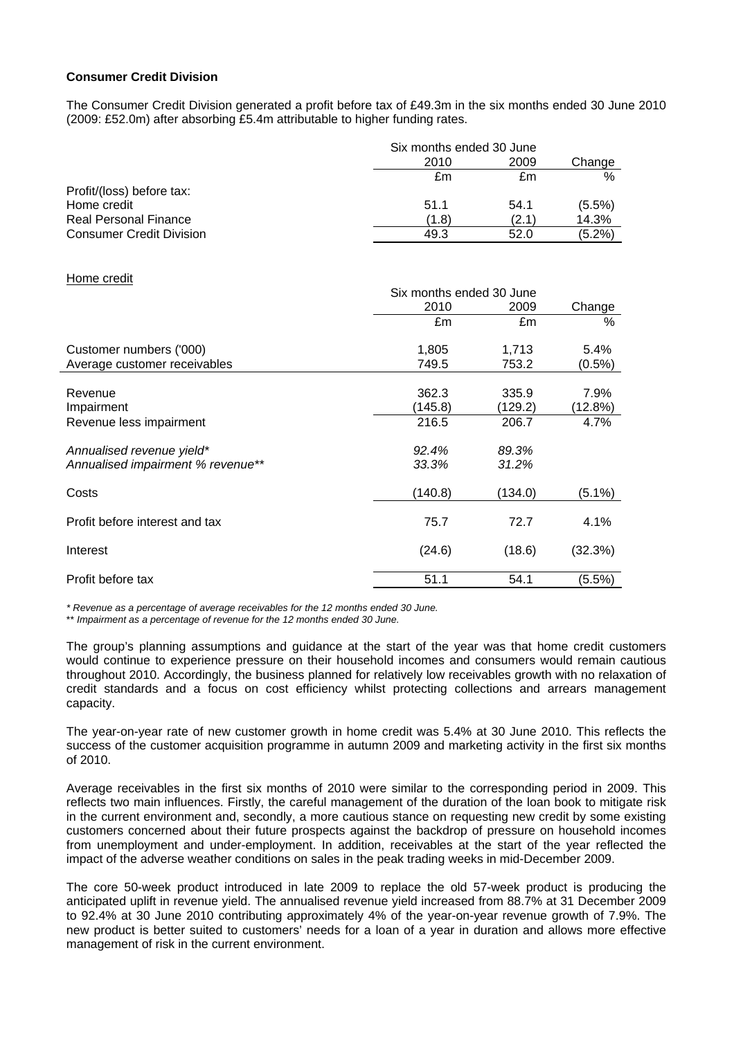# **Consumer Credit Division**

The Consumer Credit Division generated a profit before tax of £49.3m in the six months ended 30 June 2010 (2009: £52.0m) after absorbing £5.4m attributable to higher funding rates.

|                                 |       | Six months ended 30 June |           |  |
|---------------------------------|-------|--------------------------|-----------|--|
|                                 | 2010  | 2009                     |           |  |
|                                 | £m    | £m                       | $\%$      |  |
| Profit/(loss) before tax:       |       |                          |           |  |
| Home credit                     | 51.1  | 54.1                     | $(5.5\%)$ |  |
| <b>Real Personal Finance</b>    | (1.8) | (2.1)                    | 14.3%     |  |
| <b>Consumer Credit Division</b> | 49.3  | 52.0                     | $(5.2\%)$ |  |

### Home credit

|                                                                | Six months ended 30 June |                  |                 |
|----------------------------------------------------------------|--------------------------|------------------|-----------------|
|                                                                | 2010                     | 2009             | Change          |
|                                                                | £m                       | £m               | $\%$            |
| Customer numbers ('000)                                        | 1,805                    | 1,713            | 5.4%            |
| Average customer receivables                                   | 749.5                    | 753.2            | $(0.5\%)$       |
| Revenue<br>Impairment                                          | 362.3<br>(145.8)         | 335.9<br>(129.2) | 7.9%<br>(12.8%) |
| Revenue less impairment                                        | 216.5                    | 206.7            | 4.7%            |
| Annualised revenue yield*<br>Annualised impairment % revenue** | 92.4%<br>33.3%           | 89.3%<br>31.2%   |                 |
| Costs                                                          | (140.8)                  | (134.0)          | $(5.1\%)$       |
| Profit before interest and tax                                 | 75.7                     | 72.7             | 4.1%            |
| Interest                                                       | (24.6)                   | (18.6)           | (32.3%)         |
| Profit before tax                                              | 51.1                     | 54.1             | (5.5%)          |

*\* Revenue as a percentage of average receivables for the 12 months ended 30 June.* 

\*\* *Impairment as a percentage of revenue for the 12 months ended 30 June.* 

The group's planning assumptions and guidance at the start of the year was that home credit customers would continue to experience pressure on their household incomes and consumers would remain cautious throughout 2010. Accordingly, the business planned for relatively low receivables growth with no relaxation of credit standards and a focus on cost efficiency whilst protecting collections and arrears management capacity.

The year-on-year rate of new customer growth in home credit was 5.4% at 30 June 2010. This reflects the success of the customer acquisition programme in autumn 2009 and marketing activity in the first six months of 2010.

Average receivables in the first six months of 2010 were similar to the corresponding period in 2009. This reflects two main influences. Firstly, the careful management of the duration of the loan book to mitigate risk in the current environment and, secondly, a more cautious stance on requesting new credit by some existing customers concerned about their future prospects against the backdrop of pressure on household incomes from unemployment and under-employment. In addition, receivables at the start of the year reflected the impact of the adverse weather conditions on sales in the peak trading weeks in mid-December 2009.

The core 50-week product introduced in late 2009 to replace the old 57-week product is producing the anticipated uplift in revenue yield. The annualised revenue yield increased from 88.7% at 31 December 2009 to 92.4% at 30 June 2010 contributing approximately 4% of the year-on-year revenue growth of 7.9%. The new product is better suited to customers' needs for a loan of a year in duration and allows more effective management of risk in the current environment.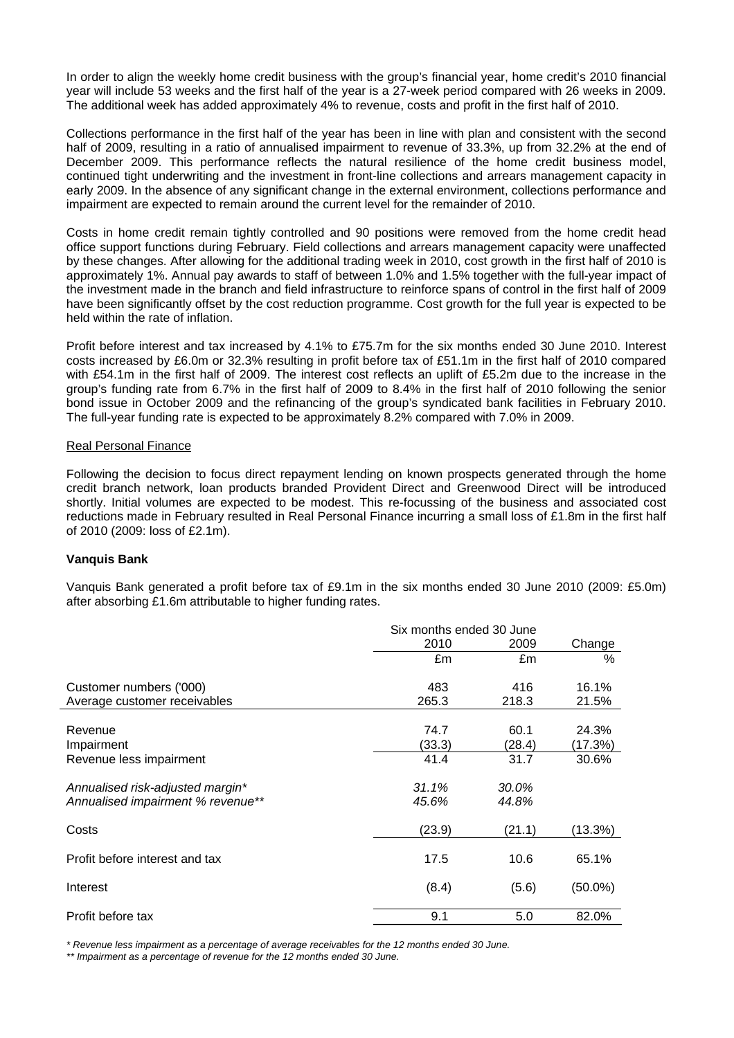In order to align the weekly home credit business with the group's financial year, home credit's 2010 financial year will include 53 weeks and the first half of the year is a 27-week period compared with 26 weeks in 2009. The additional week has added approximately 4% to revenue, costs and profit in the first half of 2010.

Collections performance in the first half of the year has been in line with plan and consistent with the second half of 2009, resulting in a ratio of annualised impairment to revenue of 33.3%, up from 32.2% at the end of December 2009. This performance reflects the natural resilience of the home credit business model, continued tight underwriting and the investment in front-line collections and arrears management capacity in early 2009. In the absence of any significant change in the external environment, collections performance and impairment are expected to remain around the current level for the remainder of 2010.

Costs in home credit remain tightly controlled and 90 positions were removed from the home credit head office support functions during February. Field collections and arrears management capacity were unaffected by these changes. After allowing for the additional trading week in 2010, cost growth in the first half of 2010 is approximately 1%. Annual pay awards to staff of between 1.0% and 1.5% together with the full-year impact of the investment made in the branch and field infrastructure to reinforce spans of control in the first half of 2009 have been significantly offset by the cost reduction programme. Cost growth for the full year is expected to be held within the rate of inflation.

Profit before interest and tax increased by 4.1% to £75.7m for the six months ended 30 June 2010. Interest costs increased by £6.0m or 32.3% resulting in profit before tax of £51.1m in the first half of 2010 compared with £54.1m in the first half of 2009. The interest cost reflects an uplift of £5.2m due to the increase in the group's funding rate from 6.7% in the first half of 2009 to 8.4% in the first half of 2010 following the senior bond issue in October 2009 and the refinancing of the group's syndicated bank facilities in February 2010. The full-year funding rate is expected to be approximately 8.2% compared with 7.0% in 2009.

### Real Personal Finance

Following the decision to focus direct repayment lending on known prospects generated through the home credit branch network, loan products branded Provident Direct and Greenwood Direct will be introduced shortly. Initial volumes are expected to be modest. This re-focussing of the business and associated cost reductions made in February resulted in Real Personal Finance incurring a small loss of £1.8m in the first half of 2010 (2009: loss of £2.1m).

### **Vanquis Bank**

Vanquis Bank generated a profit before tax of £9.1m in the six months ended 30 June 2010 (2009: £5.0m) after absorbing £1.6m attributable to higher funding rates.

|                                                                       | Six months ended 30 June |                |                  |
|-----------------------------------------------------------------------|--------------------------|----------------|------------------|
|                                                                       | 2010                     | 2009           | Change           |
|                                                                       | £m                       | £m             | %                |
| Customer numbers ('000)                                               | 483                      | 416            | 16.1%            |
| Average customer receivables                                          | 265.3                    | 218.3          | 21.5%            |
| Revenue<br>Impairment                                                 | 74.7<br>(33.3)           | 60.1<br>(28.4) | 24.3%<br>(17.3%) |
| Revenue less impairment                                               | 41.4                     | 31.7           | 30.6%            |
| Annualised risk-adjusted margin*<br>Annualised impairment % revenue** | 31.1%<br>45.6%           | 30.0%<br>44.8% |                  |
| Costs                                                                 | (23.9)                   | (21.1)         | $(13.3\%)$       |
| Profit before interest and tax                                        | 17.5                     | 10.6           | 65.1%            |
| Interest                                                              | (8.4)                    | (5.6)          | (50.0%)          |
| Profit before tax                                                     | 9.1                      | 5.0            | 82.0%            |

*\* Revenue less impairment as a percentage of average receivables for the 12 months ended 30 June.* 

*\*\* Impairment as a percentage of revenue for the 12 months ended 30 June.*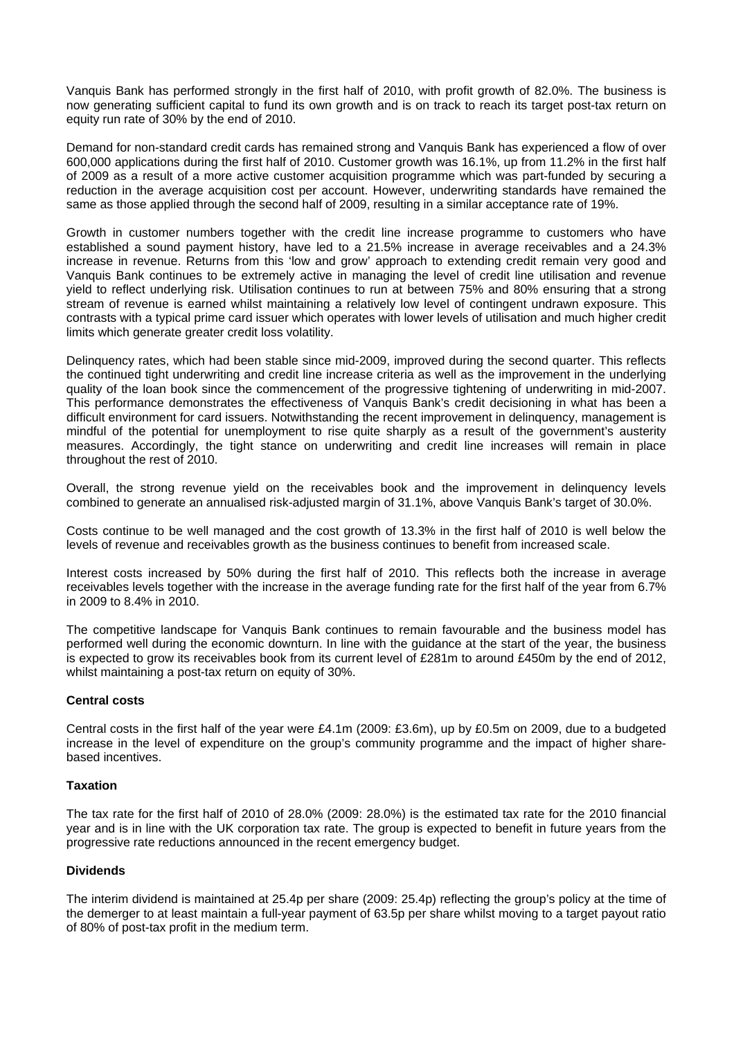Vanquis Bank has performed strongly in the first half of 2010, with profit growth of 82.0%. The business is now generating sufficient capital to fund its own growth and is on track to reach its target post-tax return on equity run rate of 30% by the end of 2010.

Demand for non-standard credit cards has remained strong and Vanquis Bank has experienced a flow of over 600,000 applications during the first half of 2010. Customer growth was 16.1%, up from 11.2% in the first half of 2009 as a result of a more active customer acquisition programme which was part-funded by securing a reduction in the average acquisition cost per account. However, underwriting standards have remained the same as those applied through the second half of 2009, resulting in a similar acceptance rate of 19%.

Growth in customer numbers together with the credit line increase programme to customers who have established a sound payment history, have led to a 21.5% increase in average receivables and a 24.3% increase in revenue. Returns from this 'low and grow' approach to extending credit remain very good and Vanquis Bank continues to be extremely active in managing the level of credit line utilisation and revenue yield to reflect underlying risk. Utilisation continues to run at between 75% and 80% ensuring that a strong stream of revenue is earned whilst maintaining a relatively low level of contingent undrawn exposure. This contrasts with a typical prime card issuer which operates with lower levels of utilisation and much higher credit limits which generate greater credit loss volatility.

Delinquency rates, which had been stable since mid-2009, improved during the second quarter. This reflects the continued tight underwriting and credit line increase criteria as well as the improvement in the underlying quality of the loan book since the commencement of the progressive tightening of underwriting in mid-2007. This performance demonstrates the effectiveness of Vanquis Bank's credit decisioning in what has been a difficult environment for card issuers. Notwithstanding the recent improvement in delinquency, management is mindful of the potential for unemployment to rise quite sharply as a result of the government's austerity measures. Accordingly, the tight stance on underwriting and credit line increases will remain in place throughout the rest of 2010.

Overall, the strong revenue yield on the receivables book and the improvement in delinquency levels combined to generate an annualised risk-adjusted margin of 31.1%, above Vanquis Bank's target of 30.0%.

Costs continue to be well managed and the cost growth of 13.3% in the first half of 2010 is well below the levels of revenue and receivables growth as the business continues to benefit from increased scale.

Interest costs increased by 50% during the first half of 2010. This reflects both the increase in average receivables levels together with the increase in the average funding rate for the first half of the year from 6.7% in 2009 to 8.4% in 2010.

The competitive landscape for Vanquis Bank continues to remain favourable and the business model has performed well during the economic downturn. In line with the guidance at the start of the year, the business is expected to grow its receivables book from its current level of £281m to around £450m by the end of 2012, whilst maintaining a post-tax return on equity of 30%.

# **Central costs**

Central costs in the first half of the year were £4.1m (2009: £3.6m), up by £0.5m on 2009, due to a budgeted increase in the level of expenditure on the group's community programme and the impact of higher sharebased incentives.

### **Taxation**

The tax rate for the first half of 2010 of 28.0% (2009: 28.0%) is the estimated tax rate for the 2010 financial year and is in line with the UK corporation tax rate. The group is expected to benefit in future years from the progressive rate reductions announced in the recent emergency budget.

### **Dividends**

The interim dividend is maintained at 25.4p per share (2009: 25.4p) reflecting the group's policy at the time of the demerger to at least maintain a full-year payment of 63.5p per share whilst moving to a target payout ratio of 80% of post-tax profit in the medium term.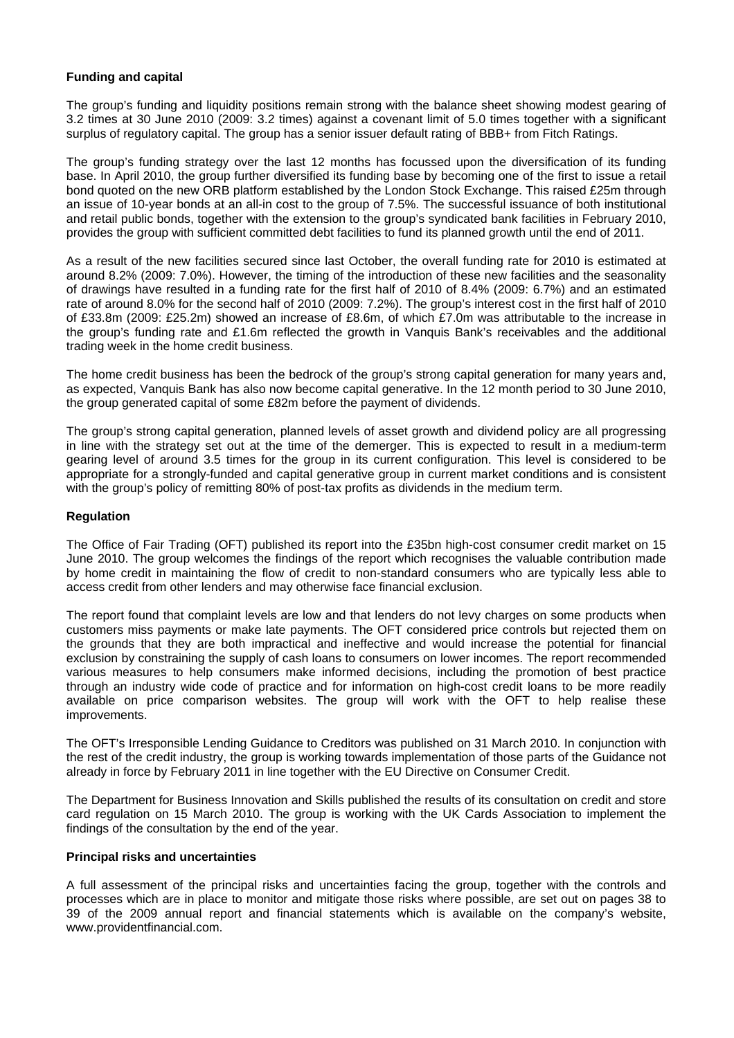# **Funding and capital**

The group's funding and liquidity positions remain strong with the balance sheet showing modest gearing of 3.2 times at 30 June 2010 (2009: 3.2 times) against a covenant limit of 5.0 times together with a significant surplus of regulatory capital. The group has a senior issuer default rating of BBB+ from Fitch Ratings.

The group's funding strategy over the last 12 months has focussed upon the diversification of its funding base. In April 2010, the group further diversified its funding base by becoming one of the first to issue a retail bond quoted on the new ORB platform established by the London Stock Exchange. This raised £25m through an issue of 10-year bonds at an all-in cost to the group of 7.5%. The successful issuance of both institutional and retail public bonds, together with the extension to the group's syndicated bank facilities in February 2010, provides the group with sufficient committed debt facilities to fund its planned growth until the end of 2011.

As a result of the new facilities secured since last October, the overall funding rate for 2010 is estimated at around 8.2% (2009: 7.0%). However, the timing of the introduction of these new facilities and the seasonality of drawings have resulted in a funding rate for the first half of 2010 of 8.4% (2009: 6.7%) and an estimated rate of around 8.0% for the second half of 2010 (2009: 7.2%). The group's interest cost in the first half of 2010 of £33.8m (2009: £25.2m) showed an increase of £8.6m, of which £7.0m was attributable to the increase in the group's funding rate and £1.6m reflected the growth in Vanquis Bank's receivables and the additional trading week in the home credit business.

The home credit business has been the bedrock of the group's strong capital generation for many years and, as expected, Vanquis Bank has also now become capital generative. In the 12 month period to 30 June 2010, the group generated capital of some £82m before the payment of dividends.

The group's strong capital generation, planned levels of asset growth and dividend policy are all progressing in line with the strategy set out at the time of the demerger. This is expected to result in a medium-term gearing level of around 3.5 times for the group in its current configuration. This level is considered to be appropriate for a strongly-funded and capital generative group in current market conditions and is consistent with the group's policy of remitting 80% of post-tax profits as dividends in the medium term.

### **Regulation**

The Office of Fair Trading (OFT) published its report into the £35bn high-cost consumer credit market on 15 June 2010. The group welcomes the findings of the report which recognises the valuable contribution made by home credit in maintaining the flow of credit to non-standard consumers who are typically less able to access credit from other lenders and may otherwise face financial exclusion.

The report found that complaint levels are low and that lenders do not levy charges on some products when customers miss payments or make late payments. The OFT considered price controls but rejected them on the grounds that they are both impractical and ineffective and would increase the potential for financial exclusion by constraining the supply of cash loans to consumers on lower incomes. The report recommended various measures to help consumers make informed decisions, including the promotion of best practice through an industry wide code of practice and for information on high-cost credit loans to be more readily available on price comparison websites. The group will work with the OFT to help realise these improvements.

The OFT's Irresponsible Lending Guidance to Creditors was published on 31 March 2010. In conjunction with the rest of the credit industry, the group is working towards implementation of those parts of the Guidance not already in force by February 2011 in line together with the EU Directive on Consumer Credit.

The Department for Business Innovation and Skills published the results of its consultation on credit and store card regulation on 15 March 2010. The group is working with the UK Cards Association to implement the findings of the consultation by the end of the year.

### **Principal risks and uncertainties**

A full assessment of the principal risks and uncertainties facing the group, together with the controls and processes which are in place to monitor and mitigate those risks where possible, are set out on pages 38 to 39 of the 2009 annual report and financial statements which is available on the company's website, www.providentfinancial.com.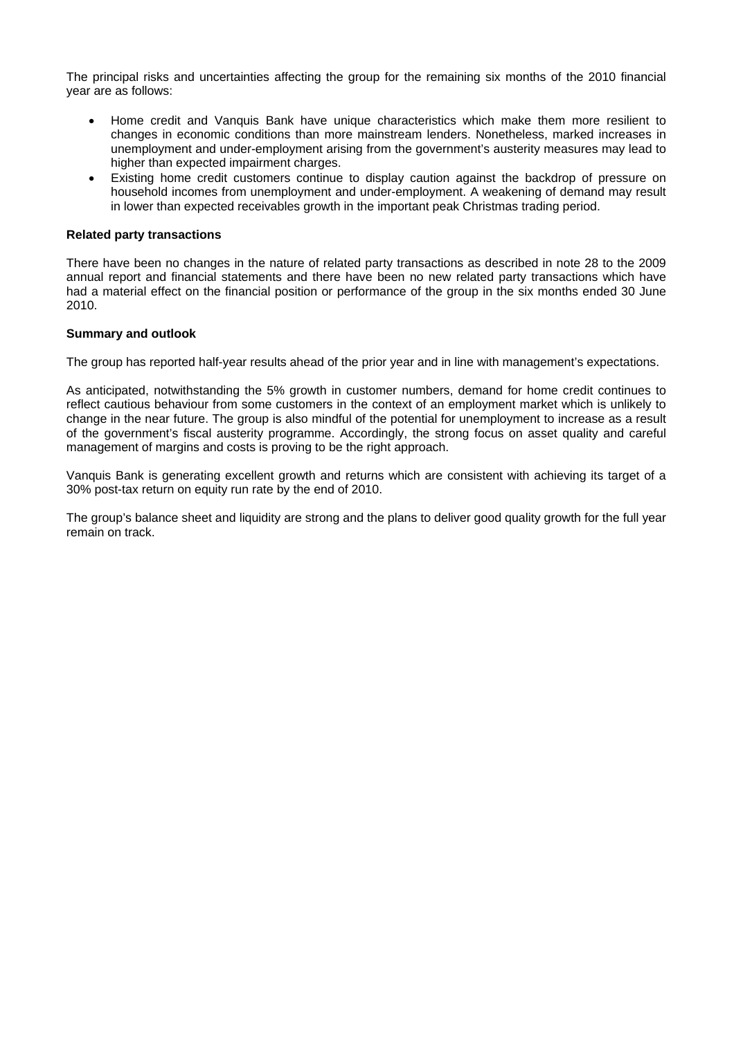The principal risks and uncertainties affecting the group for the remaining six months of the 2010 financial year are as follows:

- Home credit and Vanquis Bank have unique characteristics which make them more resilient to changes in economic conditions than more mainstream lenders. Nonetheless, marked increases in unemployment and under-employment arising from the government's austerity measures may lead to higher than expected impairment charges.
- Existing home credit customers continue to display caution against the backdrop of pressure on household incomes from unemployment and under-employment. A weakening of demand may result in lower than expected receivables growth in the important peak Christmas trading period.

# **Related party transactions**

There have been no changes in the nature of related party transactions as described in note 28 to the 2009 annual report and financial statements and there have been no new related party transactions which have had a material effect on the financial position or performance of the group in the six months ended 30 June 2010.

# **Summary and outlook**

The group has reported half-year results ahead of the prior year and in line with management's expectations.

As anticipated, notwithstanding the 5% growth in customer numbers, demand for home credit continues to reflect cautious behaviour from some customers in the context of an employment market which is unlikely to change in the near future. The group is also mindful of the potential for unemployment to increase as a result of the government's fiscal austerity programme. Accordingly, the strong focus on asset quality and careful management of margins and costs is proving to be the right approach.

Vanquis Bank is generating excellent growth and returns which are consistent with achieving its target of a 30% post-tax return on equity run rate by the end of 2010.

The group's balance sheet and liquidity are strong and the plans to deliver good quality growth for the full year remain on track.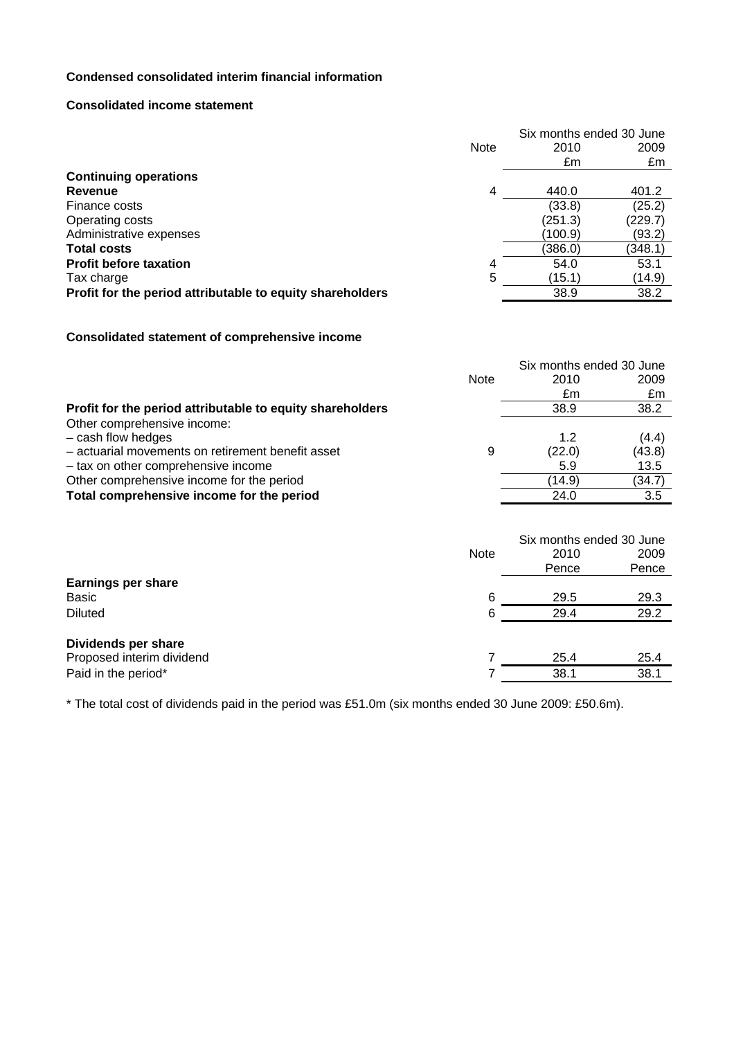# **Condensed consolidated interim financial information**

# **Consolidated income statement**

|                                                           |             |         | Six months ended 30 June |
|-----------------------------------------------------------|-------------|---------|--------------------------|
|                                                           | <b>Note</b> | 2010    | 2009                     |
|                                                           |             | £m      | £m                       |
| <b>Continuing operations</b>                              |             |         |                          |
| Revenue                                                   | 4           | 440.0   | 401.2                    |
| Finance costs                                             |             | (33.8)  | (25.2)                   |
| Operating costs                                           |             | (251.3) | (229.7)                  |
| Administrative expenses                                   |             | (100.9) | (93.2)                   |
| <b>Total costs</b>                                        |             | (386.0) | (348.1)                  |
| <b>Profit before taxation</b>                             | 4           | 54.0    | 53.1                     |
| Tax charge                                                | 5           | (15.1)  | (14.9)                   |
| Profit for the period attributable to equity shareholders |             | 38.9    | 38.2                     |
|                                                           |             |         |                          |

# **Consolidated statement of comprehensive income**

| 2010<br>£m | 2009   |
|------------|--------|
|            |        |
|            | £m     |
| 38.9       | 38.2   |
|            |        |
| 1.2        | (4.4)  |
| (22.0)     | (43.8) |
| 5.9        | 13.5   |
| (14.9)     | (34.7) |
| 24.0       | 3.5    |
|            |        |
|            |        |

|                           |             |       | Six months ended 30 June |
|---------------------------|-------------|-------|--------------------------|
|                           | <b>Note</b> | 2010  | 2009                     |
|                           |             | Pence | Pence                    |
| <b>Earnings per share</b> |             |       |                          |
| <b>Basic</b>              | 6           | 29.5  | 29.3                     |
| <b>Diluted</b>            | 6           | 29.4  | 29.2                     |
|                           |             |       |                          |
| Dividends per share       |             |       |                          |
| Proposed interim dividend |             | 25.4  | 25.4                     |
| Paid in the period*       |             | 38.1  | 38.1                     |
|                           |             |       |                          |

\* The total cost of dividends paid in the period was £51.0m (six months ended 30 June 2009: £50.6m).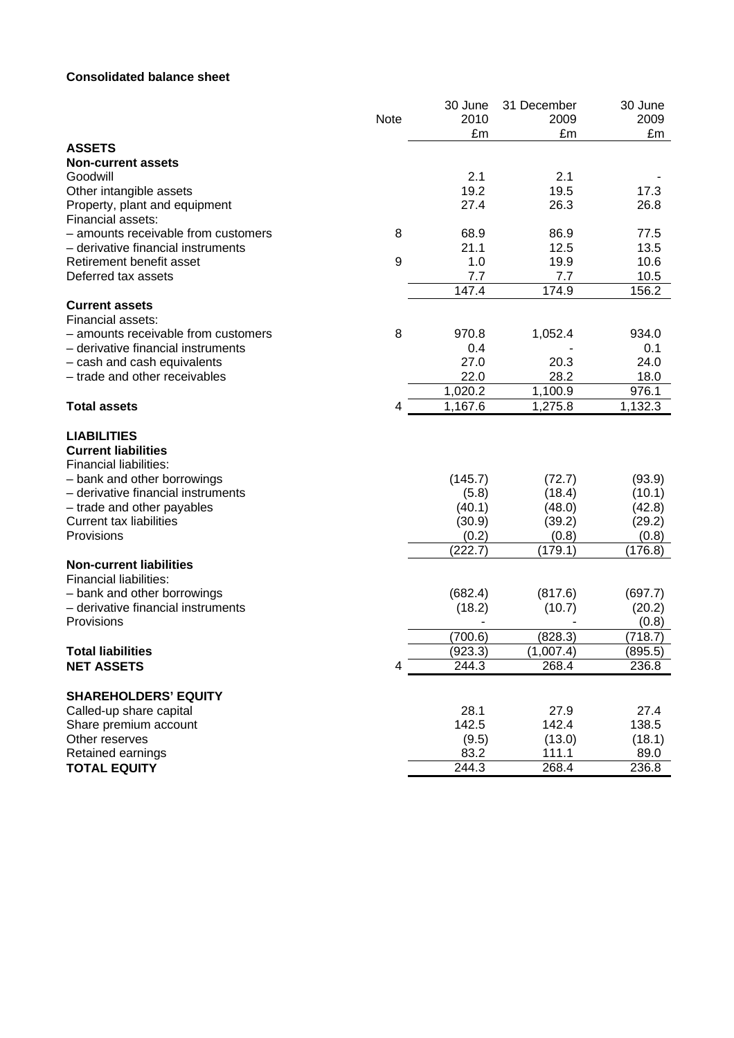# **Consolidated balance sheet**

|                                                                                                                                                                                                                        | <b>Note</b> | 30 June<br>2010<br>£m                | 31 December<br>2009<br>£m            | 30 June<br>2009<br>£m                |
|------------------------------------------------------------------------------------------------------------------------------------------------------------------------------------------------------------------------|-------------|--------------------------------------|--------------------------------------|--------------------------------------|
| <b>ASSETS</b>                                                                                                                                                                                                          |             |                                      |                                      |                                      |
| <b>Non-current assets</b>                                                                                                                                                                                              |             |                                      |                                      |                                      |
| Goodwill                                                                                                                                                                                                               |             | 2.1                                  | 2.1                                  |                                      |
| Other intangible assets                                                                                                                                                                                                |             | 19.2                                 | 19.5                                 | 17.3                                 |
| Property, plant and equipment                                                                                                                                                                                          |             | 27.4                                 | 26.3                                 | 26.8                                 |
| Financial assets:                                                                                                                                                                                                      |             |                                      |                                      |                                      |
| - amounts receivable from customers                                                                                                                                                                                    | 8           | 68.9                                 | 86.9                                 | 77.5                                 |
| - derivative financial instruments                                                                                                                                                                                     |             | 21.1                                 | 12.5                                 | 13.5                                 |
| Retirement benefit asset                                                                                                                                                                                               | 9           | 1.0                                  | 19.9                                 | 10.6                                 |
| Deferred tax assets                                                                                                                                                                                                    |             | 7.7                                  | 7.7                                  | 10.5                                 |
|                                                                                                                                                                                                                        |             | 147.4                                | 174.9                                | 156.2                                |
| <b>Current assets</b>                                                                                                                                                                                                  |             |                                      |                                      |                                      |
| Financial assets:<br>- amounts receivable from customers                                                                                                                                                               | 8           | 970.8                                |                                      | 934.0                                |
| - derivative financial instruments                                                                                                                                                                                     |             | 0.4                                  | 1,052.4                              | 0.1                                  |
| - cash and cash equivalents                                                                                                                                                                                            |             | 27.0                                 | 20.3                                 | 24.0                                 |
| - trade and other receivables                                                                                                                                                                                          |             | 22.0                                 | 28.2                                 | 18.0                                 |
|                                                                                                                                                                                                                        |             | 1,020.2                              | 1,100.9                              | 976.1                                |
| <b>Total assets</b>                                                                                                                                                                                                    | 4           | 1,167.6                              | 1,275.8                              | 1,132.3                              |
| <b>LIABILITIES</b><br><b>Current liabilities</b><br><b>Financial liabilities:</b><br>- bank and other borrowings<br>- derivative financial instruments<br>- trade and other payables<br><b>Current tax liabilities</b> |             | (145.7)<br>(5.8)<br>(40.1)<br>(30.9) | (72.7)<br>(18.4)<br>(48.0)<br>(39.2) | (93.9)<br>(10.1)<br>(42.8)<br>(29.2) |
| Provisions                                                                                                                                                                                                             |             | (0.2)                                | (0.8)                                | (0.8)                                |
| <b>Non-current liabilities</b><br><b>Financial liabilities:</b>                                                                                                                                                        |             | (222.7)                              | (179.1)                              | (176.8)                              |
| - bank and other borrowings<br>- derivative financial instruments                                                                                                                                                      |             | (682.4)                              | (817.6)                              | (697.7)                              |
| Provisions                                                                                                                                                                                                             |             | (18.2)                               | (10.7)                               | (20.2)<br>(0.8)                      |
|                                                                                                                                                                                                                        |             | (700.6)                              | (828.3)                              | (718.7)                              |
| <b>Total liabilities</b>                                                                                                                                                                                               |             | (923.3)                              | (1,007.4)                            | (895.5)                              |
| <b>NET ASSETS</b>                                                                                                                                                                                                      | 4           | 244.3                                | 268.4                                | 236.8                                |
|                                                                                                                                                                                                                        |             |                                      |                                      |                                      |
| <b>SHAREHOLDERS' EQUITY</b><br>Called-up share capital<br>Share premium account<br>Other reserves<br>Retained earnings                                                                                                 |             | 28.1<br>142.5<br>(9.5)<br>83.2       | 27.9<br>142.4<br>(13.0)<br>111.1     | 27.4<br>138.5<br>(18.1)<br>89.0      |
| <b>TOTAL EQUITY</b>                                                                                                                                                                                                    |             | 244.3                                | 268.4                                | 236.8                                |
|                                                                                                                                                                                                                        |             |                                      |                                      |                                      |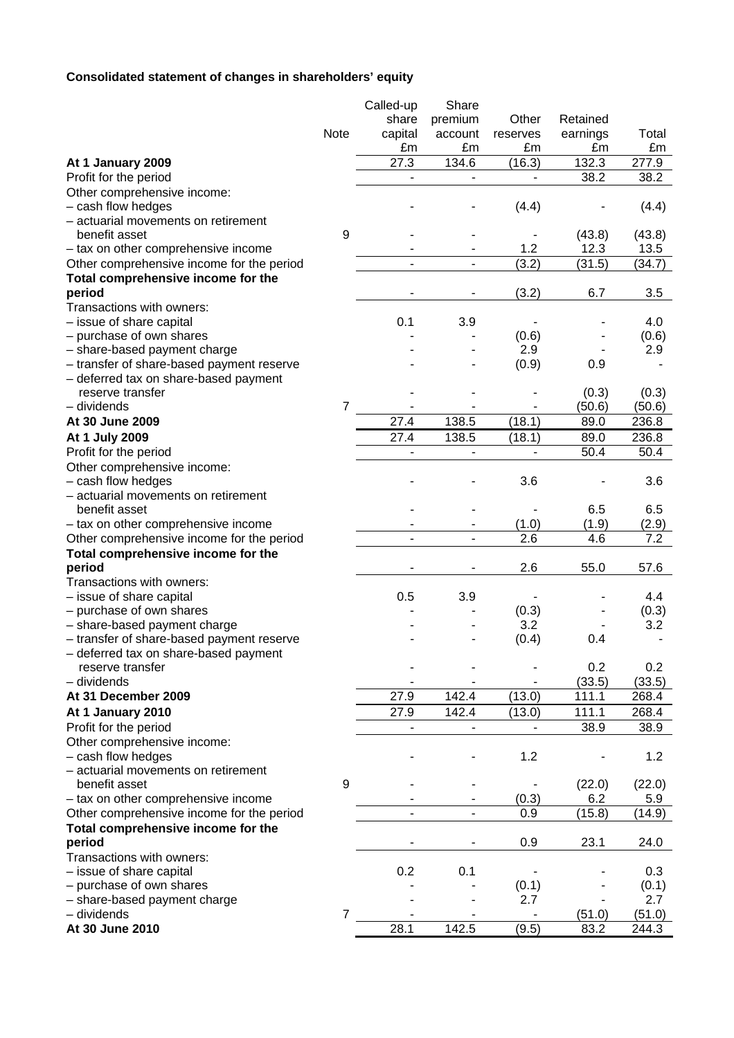# **Consolidated statement of changes in shareholders' equity**

|                                           |                | Called-up                | Share                    |          |          |        |
|-------------------------------------------|----------------|--------------------------|--------------------------|----------|----------|--------|
|                                           |                | share                    | premium                  | Other    | Retained |        |
|                                           | <b>Note</b>    | capital                  | account                  | reserves | earnings | Total  |
|                                           |                | £m                       | £m                       | £m       | £m       | £m     |
| At 1 January 2009                         |                | 27.3                     | 134.6                    | (16.3)   | 132.3    | 277.9  |
| Profit for the period                     |                | -                        |                          |          | 38.2     | 38.2   |
| Other comprehensive income:               |                |                          |                          |          |          |        |
| - cash flow hedges                        |                |                          |                          | (4.4)    |          | (4.4)  |
| - actuarial movements on retirement       |                |                          |                          |          |          |        |
| benefit asset                             | 9              |                          |                          |          | (43.8)   | (43.8) |
| - tax on other comprehensive income       |                |                          |                          | 1.2      | 12.3     | 13.5   |
| Other comprehensive income for the period |                | ÷,                       | $\overline{\phantom{0}}$ | (3.2)    | (31.5)   | (34.7) |
| Total comprehensive income for the        |                |                          |                          |          |          |        |
| period                                    |                |                          |                          | (3.2)    | 6.7      | 3.5    |
| Transactions with owners:                 |                |                          |                          |          |          |        |
| - issue of share capital                  |                | 0.1                      | 3.9                      |          |          | 4.0    |
| - purchase of own shares                  |                |                          |                          | (0.6)    |          | (0.6)  |
| - share-based payment charge              |                |                          |                          | 2.9      |          | 2.9    |
| - transfer of share-based payment reserve |                |                          |                          | (0.9)    | 0.9      |        |
| - deferred tax on share-based payment     |                |                          |                          |          |          |        |
| reserve transfer                          |                |                          |                          |          | (0.3)    | (0.3)  |
| - dividends                               | $\overline{7}$ |                          |                          |          | (50.6)   | (50.6) |
| At 30 June 2009                           |                | 27.4                     | 138.5                    | (18.1)   | 89.0     | 236.8  |
|                                           |                |                          |                          |          |          |        |
| At 1 July 2009                            |                | 27.4                     | 138.5                    | (18.1)   | 89.0     | 236.8  |
| Profit for the period                     |                |                          | -                        | ÷.       | 50.4     | 50.4   |
| Other comprehensive income:               |                |                          |                          |          |          |        |
| - cash flow hedges                        |                |                          |                          | 3.6      |          | 3.6    |
| - actuarial movements on retirement       |                |                          |                          |          |          |        |
| benefit asset                             |                |                          |                          |          | 6.5      | 6.5    |
| - tax on other comprehensive income       |                |                          |                          | (1.0)    | (1.9)    | (2.9)  |
| Other comprehensive income for the period |                |                          |                          | 2.6      | 4.6      | 7.2    |
| Total comprehensive income for the        |                |                          |                          |          |          |        |
| period                                    |                |                          |                          | 2.6      | 55.0     | 57.6   |
| Transactions with owners:                 |                |                          |                          |          |          |        |
| - issue of share capital                  |                | 0.5                      | 3.9                      |          |          | 4.4    |
| - purchase of own shares                  |                |                          |                          | (0.3)    |          | (0.3)  |
| - share-based payment charge              |                |                          |                          | 3.2      |          | 3.2    |
| - transfer of share-based payment reserve |                |                          |                          | (0.4)    | 0.4      |        |
| deferred tax on share-based payment       |                |                          |                          |          |          |        |
| reserve transfer                          |                |                          |                          |          | 0.2      | 0.2    |
| - dividends                               |                |                          |                          |          | (33.5)   | (33.5) |
| At 31 December 2009                       |                | 27.9                     | 142.4                    | (13.0)   | 111.1    | 268.4  |
| At 1 January 2010                         |                | 27.9                     | 142.4                    | (13.0)   | 111.1    | 268.4  |
| Profit for the period                     |                |                          |                          |          | 38.9     | 38.9   |
| Other comprehensive income:               |                |                          |                          |          |          |        |
| - cash flow hedges                        |                |                          |                          | 1.2      |          | 1.2    |
| - actuarial movements on retirement       |                |                          |                          |          |          |        |
| benefit asset                             | 9              |                          |                          |          | (22.0)   | (22.0) |
| - tax on other comprehensive income       |                |                          | ٠                        | (0.3)    | 6.2      | 5.9    |
| Other comprehensive income for the period |                | $\overline{\phantom{a}}$ | ٠                        | 0.9      | (15.8)   | (14.9) |
|                                           |                |                          |                          |          |          |        |
| Total comprehensive income for the        |                |                          |                          |          |          |        |
| period                                    |                |                          |                          | 0.9      | 23.1     | 24.0   |
| Transactions with owners:                 |                |                          |                          |          |          |        |
| - issue of share capital                  |                | 0.2                      | 0.1                      |          |          | 0.3    |
| - purchase of own shares                  |                |                          |                          | (0.1)    |          | (0.1)  |
| - share-based payment charge              |                |                          |                          | 2.7      |          | 2.7    |
| - dividends                               | $\overline{7}$ |                          |                          |          | (51.0)   | (51.0) |
| At 30 June 2010                           |                | 28.1                     | 142.5                    | (9.5)    | 83.2     | 244.3  |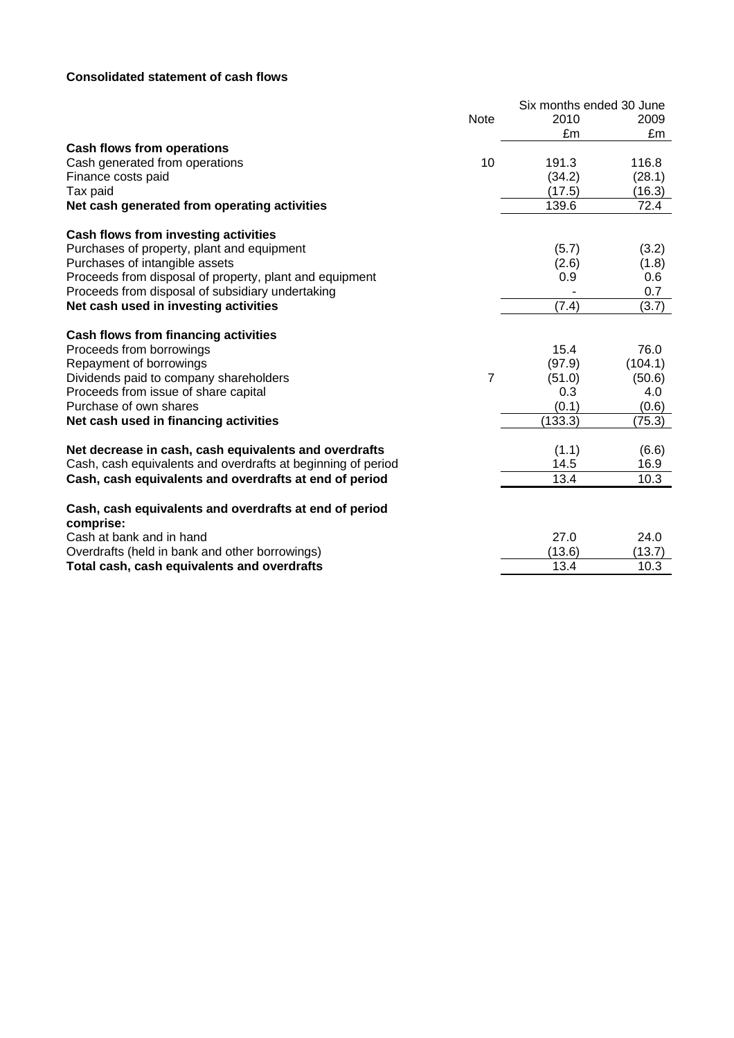# **Consolidated statement of cash flows**

|                                                                     | <b>Note</b> | Six months ended 30 June<br>2010 | 2009    |
|---------------------------------------------------------------------|-------------|----------------------------------|---------|
|                                                                     |             | £m                               | £m      |
| <b>Cash flows from operations</b>                                   |             |                                  |         |
| Cash generated from operations                                      | 10          | 191.3                            | 116.8   |
| Finance costs paid                                                  |             | (34.2)                           | (28.1)  |
| Tax paid                                                            |             | (17.5)                           | (16.3)  |
| Net cash generated from operating activities                        |             | 139.6                            | 72.4    |
| Cash flows from investing activities                                |             |                                  |         |
| Purchases of property, plant and equipment                          |             | (5.7)                            | (3.2)   |
| Purchases of intangible assets                                      |             | (2.6)                            | (1.8)   |
| Proceeds from disposal of property, plant and equipment             |             | 0.9                              | 0.6     |
| Proceeds from disposal of subsidiary undertaking                    |             |                                  | 0.7     |
| Net cash used in investing activities                               |             | (7.4)                            | (3.7)   |
|                                                                     |             |                                  |         |
| Cash flows from financing activities                                |             |                                  |         |
| Proceeds from borrowings                                            |             | 15.4                             | 76.0    |
| Repayment of borrowings                                             |             | (97.9)                           | (104.1) |
| Dividends paid to company shareholders                              | 7           | (51.0)                           | (50.6)  |
| Proceeds from issue of share capital                                |             | 0.3                              | 4.0     |
| Purchase of own shares                                              |             | (0.1)                            | (0.6)   |
| Net cash used in financing activities                               |             | (133.3)                          | (75.3)  |
| Net decrease in cash, cash equivalents and overdrafts               |             | (1.1)                            | (6.6)   |
| Cash, cash equivalents and overdrafts at beginning of period        |             | 14.5                             | 16.9    |
| Cash, cash equivalents and overdrafts at end of period              |             | 13.4                             | 10.3    |
| Cash, cash equivalents and overdrafts at end of period<br>comprise: |             |                                  |         |
| Cash at bank and in hand                                            |             | 27.0                             | 24.0    |
| Overdrafts (held in bank and other borrowings)                      |             | (13.6)                           | (13.7)  |
| Total cash, cash equivalents and overdrafts                         |             | 13.4                             | 10.3    |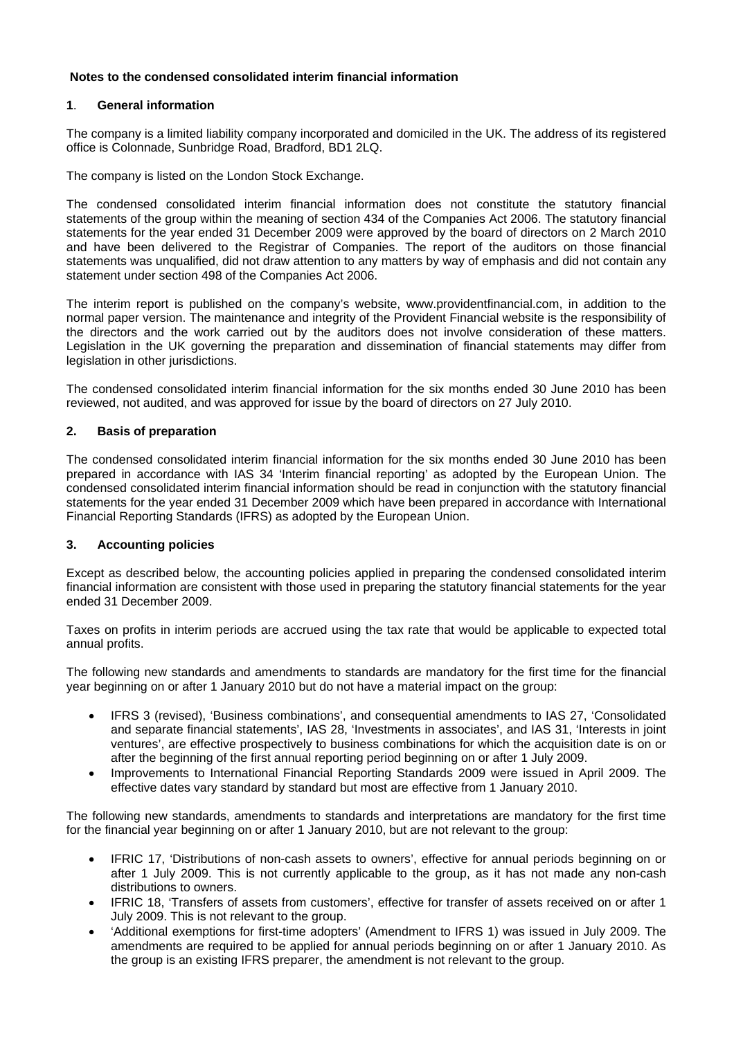# **Notes to the condensed consolidated interim financial information**

# **1**. **General information**

The company is a limited liability company incorporated and domiciled in the UK. The address of its registered office is Colonnade, Sunbridge Road, Bradford, BD1 2LQ.

The company is listed on the London Stock Exchange.

The condensed consolidated interim financial information does not constitute the statutory financial statements of the group within the meaning of section 434 of the Companies Act 2006. The statutory financial statements for the year ended 31 December 2009 were approved by the board of directors on 2 March 2010 and have been delivered to the Registrar of Companies. The report of the auditors on those financial statements was unqualified, did not draw attention to any matters by way of emphasis and did not contain any statement under section 498 of the Companies Act 2006.

The interim report is published on the company's website, www.providentfinancial.com, in addition to the normal paper version. The maintenance and integrity of the Provident Financial website is the responsibility of the directors and the work carried out by the auditors does not involve consideration of these matters. Legislation in the UK governing the preparation and dissemination of financial statements may differ from legislation in other jurisdictions.

The condensed consolidated interim financial information for the six months ended 30 June 2010 has been reviewed, not audited, and was approved for issue by the board of directors on 27 July 2010.

# **2. Basis of preparation**

The condensed consolidated interim financial information for the six months ended 30 June 2010 has been prepared in accordance with IAS 34 'Interim financial reporting' as adopted by the European Union. The condensed consolidated interim financial information should be read in conjunction with the statutory financial statements for the year ended 31 December 2009 which have been prepared in accordance with International Financial Reporting Standards (IFRS) as adopted by the European Union.

# **3. Accounting policies**

Except as described below, the accounting policies applied in preparing the condensed consolidated interim financial information are consistent with those used in preparing the statutory financial statements for the year ended 31 December 2009.

Taxes on profits in interim periods are accrued using the tax rate that would be applicable to expected total annual profits.

The following new standards and amendments to standards are mandatory for the first time for the financial year beginning on or after 1 January 2010 but do not have a material impact on the group:

- IFRS 3 (revised), 'Business combinations', and consequential amendments to IAS 27, 'Consolidated and separate financial statements', IAS 28, 'Investments in associates', and IAS 31, 'Interests in joint ventures', are effective prospectively to business combinations for which the acquisition date is on or after the beginning of the first annual reporting period beginning on or after 1 July 2009.
- Improvements to International Financial Reporting Standards 2009 were issued in April 2009. The effective dates vary standard by standard but most are effective from 1 January 2010.

The following new standards, amendments to standards and interpretations are mandatory for the first time for the financial year beginning on or after 1 January 2010, but are not relevant to the group:

- IFRIC 17, 'Distributions of non-cash assets to owners', effective for annual periods beginning on or after 1 July 2009. This is not currently applicable to the group, as it has not made any non-cash distributions to owners.
- IFRIC 18, 'Transfers of assets from customers', effective for transfer of assets received on or after 1 July 2009. This is not relevant to the group.
- 'Additional exemptions for first-time adopters' (Amendment to IFRS 1) was issued in July 2009. The amendments are required to be applied for annual periods beginning on or after 1 January 2010. As the group is an existing IFRS preparer, the amendment is not relevant to the group.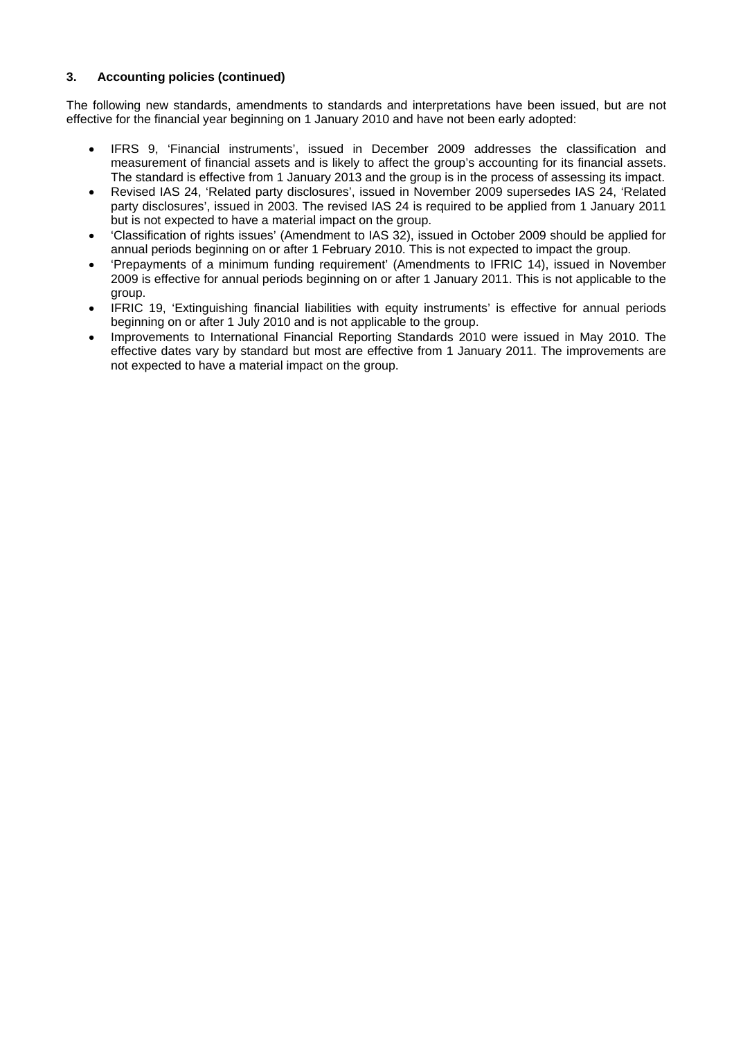# **3. Accounting policies (continued)**

The following new standards, amendments to standards and interpretations have been issued, but are not effective for the financial year beginning on 1 January 2010 and have not been early adopted:

- IFRS 9, 'Financial instruments', issued in December 2009 addresses the classification and measurement of financial assets and is likely to affect the group's accounting for its financial assets. The standard is effective from 1 January 2013 and the group is in the process of assessing its impact.
- Revised IAS 24, 'Related party disclosures', issued in November 2009 supersedes IAS 24, 'Related party disclosures', issued in 2003. The revised IAS 24 is required to be applied from 1 January 2011 but is not expected to have a material impact on the group.
- 'Classification of rights issues' (Amendment to IAS 32), issued in October 2009 should be applied for annual periods beginning on or after 1 February 2010. This is not expected to impact the group.
- 'Prepayments of a minimum funding requirement' (Amendments to IFRIC 14), issued in November 2009 is effective for annual periods beginning on or after 1 January 2011. This is not applicable to the group.
- IFRIC 19, 'Extinguishing financial liabilities with equity instruments' is effective for annual periods beginning on or after 1 July 2010 and is not applicable to the group.
- Improvements to International Financial Reporting Standards 2010 were issued in May 2010. The effective dates vary by standard but most are effective from 1 January 2011. The improvements are not expected to have a material impact on the group.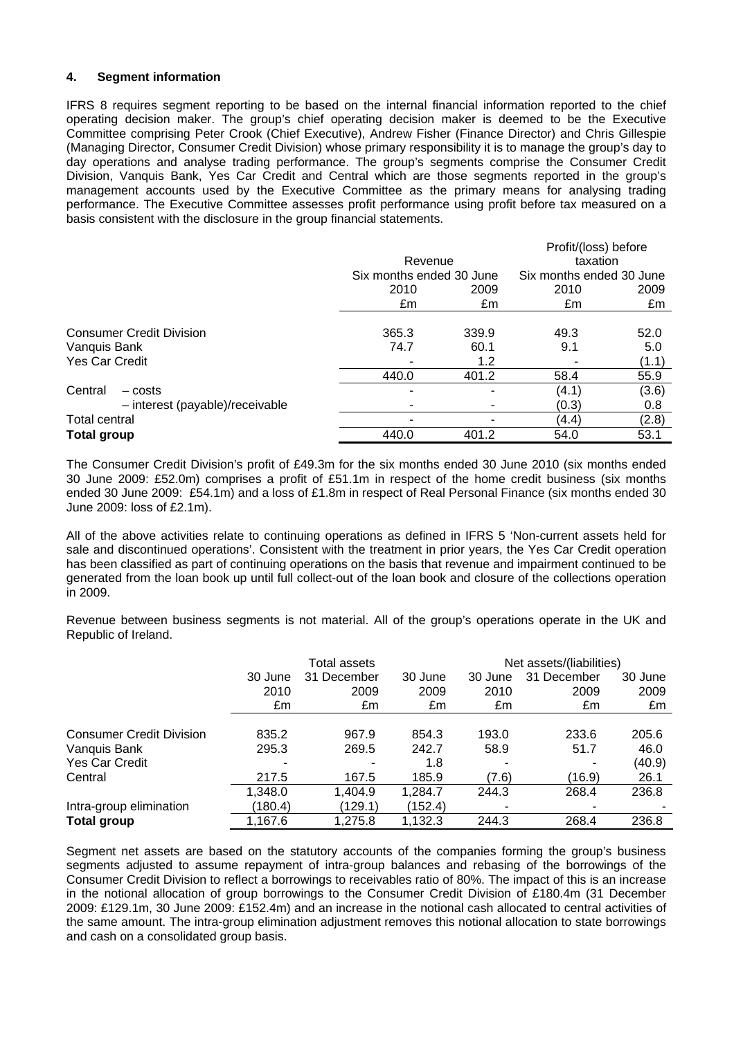### **4. Segment information**

IFRS 8 requires segment reporting to be based on the internal financial information reported to the chief operating decision maker. The group's chief operating decision maker is deemed to be the Executive Committee comprising Peter Crook (Chief Executive), Andrew Fisher (Finance Director) and Chris Gillespie (Managing Director, Consumer Credit Division) whose primary responsibility it is to manage the group's day to day operations and analyse trading performance. The group's segments comprise the Consumer Credit Division, Vanquis Bank, Yes Car Credit and Central which are those segments reported in the group's management accounts used by the Executive Committee as the primary means for analysing trading performance. The Executive Committee assesses profit performance using profit before tax measured on a basis consistent with the disclosure in the group financial statements.

|                                 |                          |       | Profit/(loss) before                 |       |
|---------------------------------|--------------------------|-------|--------------------------------------|-------|
|                                 | Revenue                  |       | taxation<br>Six months ended 30 June |       |
|                                 | Six months ended 30 June |       |                                      |       |
|                                 | 2010                     | 2009  | 2010                                 | 2009  |
|                                 | £m                       | £m    | £m                                   | £m    |
| <b>Consumer Credit Division</b> | 365.3                    | 339.9 | 49.3                                 | 52.0  |
| Vanquis Bank                    | 74.7                     | 60.1  | 9.1                                  | 5.0   |
| Yes Car Credit                  |                          | 1.2   |                                      | (1.1) |
|                                 | 440.0                    | 401.2 | 58.4                                 | 55.9  |
| Central<br>– costs              |                          |       | (4.1)                                | (3.6) |
| - interest (payable)/receivable |                          |       | (0.3)                                | 0.8   |
| <b>Total central</b>            |                          |       | (4.4)                                | (2.8) |
| <b>Total group</b>              | 440.0                    | 401.2 | 54.0                                 | 53.1  |

The Consumer Credit Division's profit of £49.3m for the six months ended 30 June 2010 (six months ended 30 June 2009: £52.0m) comprises a profit of £51.1m in respect of the home credit business (six months ended 30 June 2009: £54.1m) and a loss of £1.8m in respect of Real Personal Finance (six months ended 30 June 2009: loss of £2.1m).

All of the above activities relate to continuing operations as defined in IFRS 5 'Non-current assets held for sale and discontinued operations'. Consistent with the treatment in prior years, the Yes Car Credit operation has been classified as part of continuing operations on the basis that revenue and impairment continued to be generated from the loan book up until full collect-out of the loan book and closure of the collections operation in 2009.

Revenue between business segments is not material. All of the group's operations operate in the UK and Republic of Ireland.

|                                 | Total assets |             |         |         | Net assets/(liabilities) |         |  |
|---------------------------------|--------------|-------------|---------|---------|--------------------------|---------|--|
|                                 | 30 June      | 31 December | 30 June | 30 June | 31 December              | 30 June |  |
|                                 | 2010         | 2009        | 2009    | 2010    | 2009                     | 2009    |  |
|                                 | £m           | £m          | £m      | £m      | £m                       | £m      |  |
|                                 |              |             |         |         |                          |         |  |
| <b>Consumer Credit Division</b> | 835.2        | 967.9       | 854.3   | 193.0   | 233.6                    | 205.6   |  |
| Vanquis Bank                    | 295.3        | 269.5       | 242.7   | 58.9    | 51.7                     | 46.0    |  |
| <b>Yes Car Credit</b>           |              |             | 1.8     |         |                          | (40.9)  |  |
| Central                         | 217.5        | 167.5       | 185.9   | (7.6)   | (16.9)                   | 26.1    |  |
|                                 | 1,348.0      | 1.404.9     | 1,284.7 | 244.3   | 268.4                    | 236.8   |  |
| Intra-group elimination         | (180.4)      | (129.1)     | (152.4) |         |                          |         |  |
| <b>Total group</b>              | 1,167.6      | 1.275.8     | 1,132.3 | 244.3   | 268.4                    | 236.8   |  |

Segment net assets are based on the statutory accounts of the companies forming the group's business segments adjusted to assume repayment of intra-group balances and rebasing of the borrowings of the Consumer Credit Division to reflect a borrowings to receivables ratio of 80%. The impact of this is an increase in the notional allocation of group borrowings to the Consumer Credit Division of £180.4m (31 December 2009: £129.1m, 30 June 2009: £152.4m) and an increase in the notional cash allocated to central activities of the same amount. The intra-group elimination adjustment removes this notional allocation to state borrowings and cash on a consolidated group basis.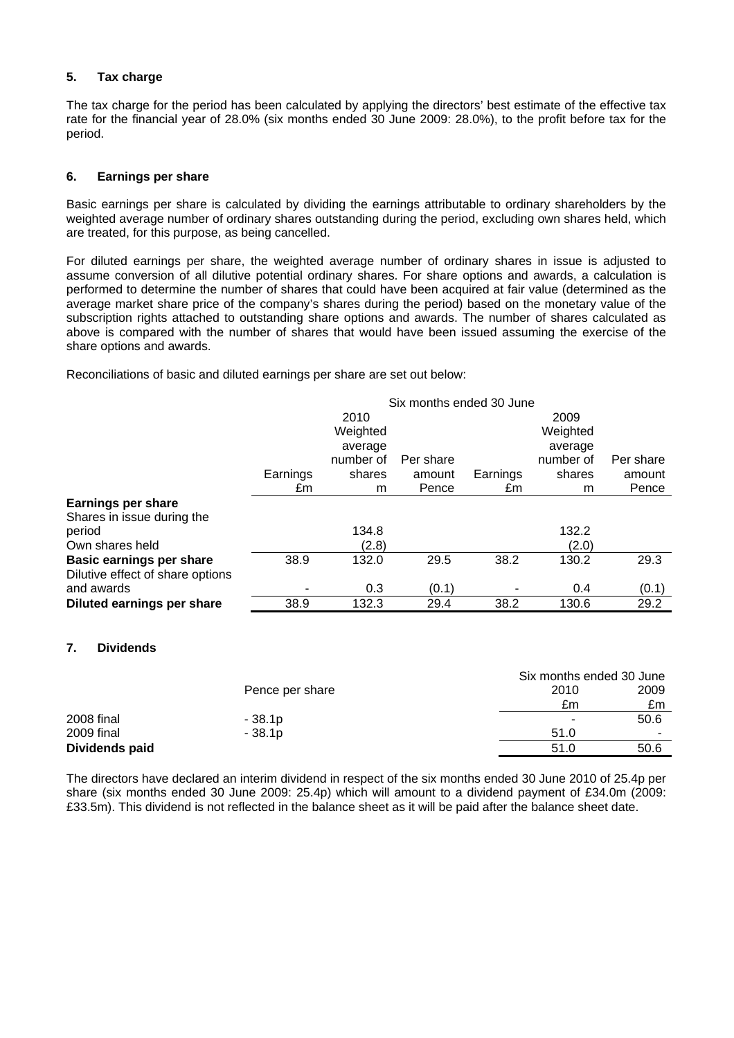# **5. Tax charge**

The tax charge for the period has been calculated by applying the directors' best estimate of the effective tax rate for the financial year of 28.0% (six months ended 30 June 2009: 28.0%), to the profit before tax for the period.

### **6. Earnings per share**

Basic earnings per share is calculated by dividing the earnings attributable to ordinary shareholders by the weighted average number of ordinary shares outstanding during the period, excluding own shares held, which are treated, for this purpose, as being cancelled.

For diluted earnings per share, the weighted average number of ordinary shares in issue is adjusted to assume conversion of all dilutive potential ordinary shares. For share options and awards, a calculation is performed to determine the number of shares that could have been acquired at fair value (determined as the average market share price of the company's shares during the period) based on the monetary value of the subscription rights attached to outstanding share options and awards. The number of shares calculated as above is compared with the number of shares that would have been issued assuming the exercise of the share options and awards.

Reconciliations of basic and diluted earnings per share are set out below:

|                                  |          |           | Six months ended 30 June |          |           |           |
|----------------------------------|----------|-----------|--------------------------|----------|-----------|-----------|
|                                  |          | 2010      |                          |          | 2009      |           |
|                                  |          | Weighted  |                          |          | Weighted  |           |
|                                  |          | average   |                          |          | average   |           |
|                                  |          | number of | Per share                |          | number of | Per share |
|                                  | Earnings | shares    | amount                   | Earnings | shares    | amount    |
|                                  | £m       | m         | Pence                    | £m       | m         | Pence     |
| <b>Earnings per share</b>        |          |           |                          |          |           |           |
| Shares in issue during the       |          |           |                          |          |           |           |
| period                           |          | 134.8     |                          |          | 132.2     |           |
| Own shares held                  |          | (2.8)     |                          |          | (2.0)     |           |
| Basic earnings per share         | 38.9     | 132.0     | 29.5                     | 38.2     | 130.2     | 29.3      |
| Dilutive effect of share options |          |           |                          |          |           |           |
| and awards                       |          | 0.3       | (0.1)                    |          | 0.4       | (0.1)     |
| Diluted earnings per share       | 38.9     | 132.3     | 29.4                     | 38.2     | 130.6     | 29.2      |

### **7. Dividends**

|                |                 | Six months ended 30 June |      |
|----------------|-----------------|--------------------------|------|
|                | Pence per share | 2010                     | 2009 |
|                |                 | £m                       | £m   |
| 2008 final     | $-38.1p$        | ۰                        | 50.6 |
| 2009 final     | $-38.1p$        | 51.0                     | ۰    |
| Dividends paid |                 | 51.0                     | 50.6 |

The directors have declared an interim dividend in respect of the six months ended 30 June 2010 of 25.4p per share (six months ended 30 June 2009: 25.4p) which will amount to a dividend payment of £34.0m (2009: £33.5m). This dividend is not reflected in the balance sheet as it will be paid after the balance sheet date.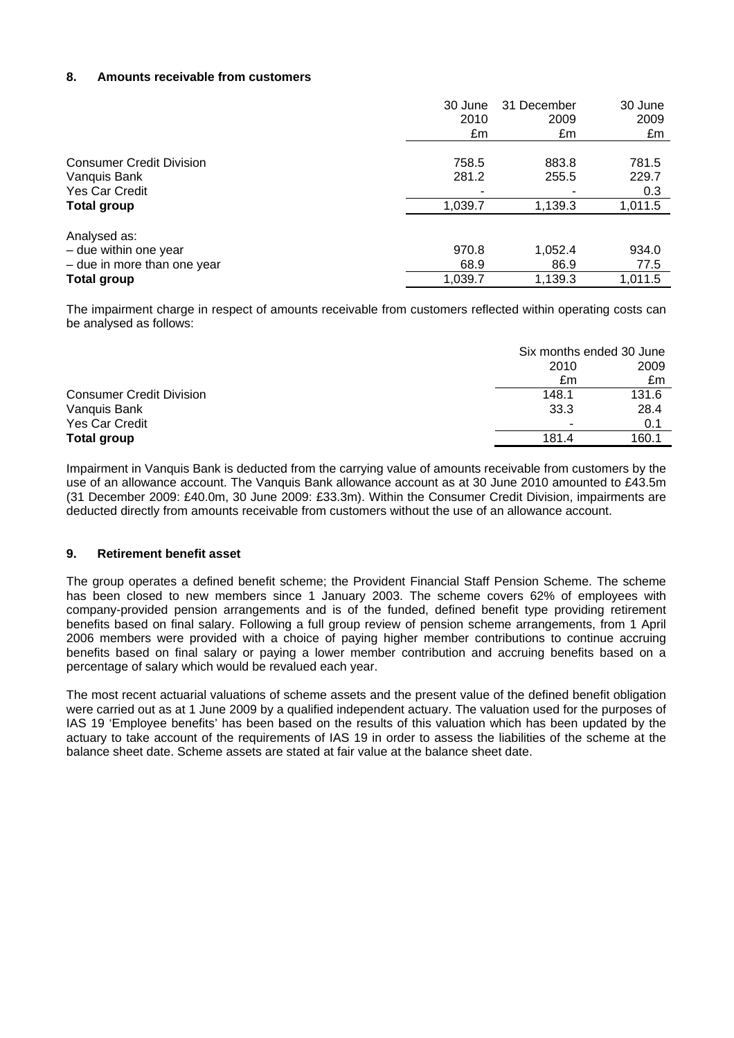# **8. Amounts receivable from customers**

|                                 | 30 June | 31 December | 30 June |
|---------------------------------|---------|-------------|---------|
|                                 | 2010    | 2009        | 2009    |
|                                 | £m      | £m          | £m      |
|                                 |         |             |         |
| <b>Consumer Credit Division</b> | 758.5   | 883.8       | 781.5   |
| Vanquis Bank                    | 281.2   | 255.5       | 229.7   |
| <b>Yes Car Credit</b>           | ۰       |             | 0.3     |
| <b>Total group</b>              | 1,039.7 | 1,139.3     | 1,011.5 |
| Analysed as:                    |         |             |         |
| - due within one year           | 970.8   | 1,052.4     | 934.0   |
| - due in more than one year     | 68.9    | 86.9        | 77.5    |
| <b>Total group</b>              | 1,039.7 | 1,139.3     | 1,011.5 |

The impairment charge in respect of amounts receivable from customers reflected within operating costs can be analysed as follows:

|                                 |       | Six months ended 30 June |
|---------------------------------|-------|--------------------------|
|                                 | 2010  | 2009                     |
|                                 | £m    | £m                       |
| <b>Consumer Credit Division</b> | 148.1 | 131.6                    |
| Vanguis Bank                    | 33.3  | 28.4                     |
| Yes Car Credit                  | ۰     | 0.1                      |
| <b>Total group</b>              | 181.4 | 160.1                    |
|                                 |       |                          |

Impairment in Vanquis Bank is deducted from the carrying value of amounts receivable from customers by the use of an allowance account. The Vanquis Bank allowance account as at 30 June 2010 amounted to £43.5m (31 December 2009: £40.0m, 30 June 2009: £33.3m). Within the Consumer Credit Division, impairments are deducted directly from amounts receivable from customers without the use of an allowance account.

### **9. Retirement benefit asset**

The group operates a defined benefit scheme; the Provident Financial Staff Pension Scheme. The scheme has been closed to new members since 1 January 2003. The scheme covers 62% of employees with company-provided pension arrangements and is of the funded, defined benefit type providing retirement benefits based on final salary. Following a full group review of pension scheme arrangements, from 1 April 2006 members were provided with a choice of paying higher member contributions to continue accruing benefits based on final salary or paying a lower member contribution and accruing benefits based on a percentage of salary which would be revalued each year.

The most recent actuarial valuations of scheme assets and the present value of the defined benefit obligation were carried out as at 1 June 2009 by a qualified independent actuary. The valuation used for the purposes of IAS 19 'Employee benefits' has been based on the results of this valuation which has been updated by the actuary to take account of the requirements of IAS 19 in order to assess the liabilities of the scheme at the balance sheet date. Scheme assets are stated at fair value at the balance sheet date.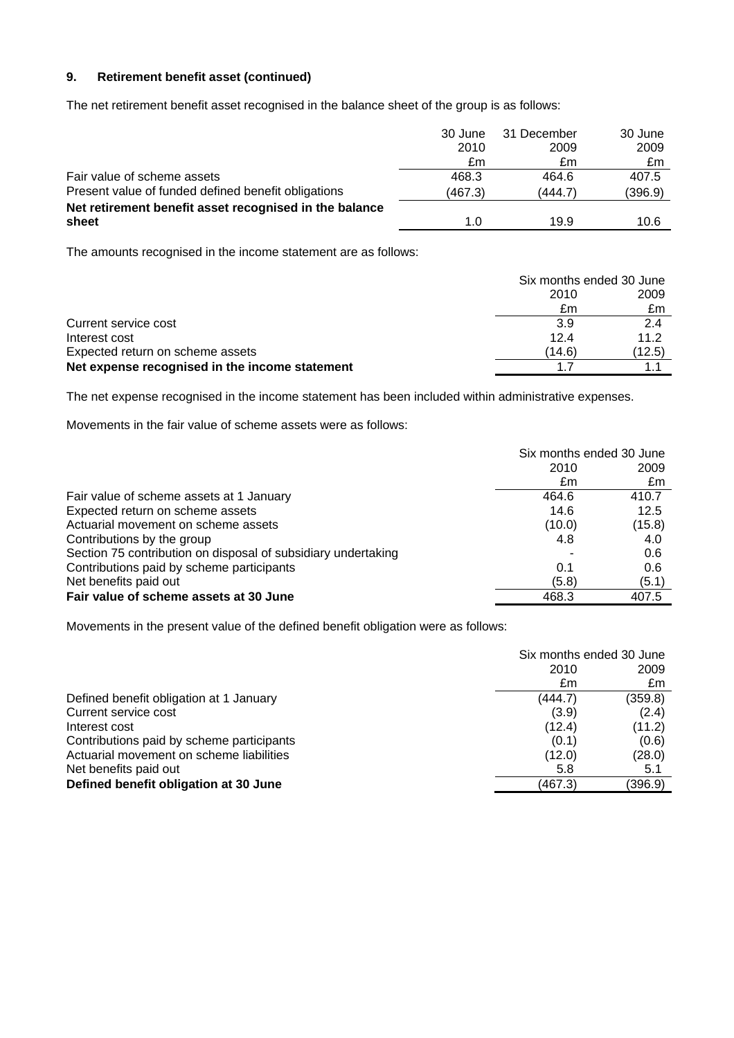# **9. Retirement benefit asset (continued)**

The net retirement benefit asset recognised in the balance sheet of the group is as follows:

|                                                        | 30 June | 31 December | 30 June |
|--------------------------------------------------------|---------|-------------|---------|
|                                                        | 2010    | 2009        | 2009    |
|                                                        | £m      | £m          | £m      |
| Fair value of scheme assets                            | 468.3   | 464.6       | 407.5   |
| Present value of funded defined benefit obligations    | (467.3) | (444.7)     | (396.9) |
| Net retirement benefit asset recognised in the balance |         |             |         |
| sheet                                                  | 1.0     | 19.9        | 10.6    |

The amounts recognised in the income statement are as follows:

|                                                |        | Six months ended 30 June |
|------------------------------------------------|--------|--------------------------|
|                                                | 2010   | 2009                     |
|                                                | £m     | £m                       |
| Current service cost                           | 3.9    | 24                       |
| Interest cost                                  | 12.4   | 11.2                     |
| Expected return on scheme assets               | (14.6) | (12.5)                   |
| Net expense recognised in the income statement |        |                          |

The net expense recognised in the income statement has been included within administrative expenses.

Movements in the fair value of scheme assets were as follows:

|                                                               |        | Six months ended 30 June |
|---------------------------------------------------------------|--------|--------------------------|
|                                                               | 2010   | 2009                     |
|                                                               | £m     | £m                       |
| Fair value of scheme assets at 1 January                      | 464.6  | 410.7                    |
| Expected return on scheme assets                              | 14.6   | 12.5                     |
| Actuarial movement on scheme assets                           | (10.0) | (15.8)                   |
| Contributions by the group                                    | 4.8    | 4.0                      |
| Section 75 contribution on disposal of subsidiary undertaking |        | 0.6                      |
| Contributions paid by scheme participants                     | 0.1    | 0.6                      |
| Net benefits paid out                                         | (5.8)  | (5.1)                    |
| Fair value of scheme assets at 30 June                        | 468.3  | 407.5                    |

Movements in the present value of the defined benefit obligation were as follows:

|                                           |         | Six months ended 30 June |
|-------------------------------------------|---------|--------------------------|
|                                           | 2010    | 2009                     |
|                                           | £m      | £m                       |
| Defined benefit obligation at 1 January   | (444.7) | (359.8)                  |
| Current service cost                      | (3.9)   | (2.4)                    |
| Interest cost                             | (12.4)  | (11.2)                   |
| Contributions paid by scheme participants | (0.1)   | (0.6)                    |
| Actuarial movement on scheme liabilities  | (12.0)  | (28.0)                   |
| Net benefits paid out                     | 5.8     | 5.1                      |
| Defined benefit obligation at 30 June     | (467.3) | (396.9)                  |
|                                           |         |                          |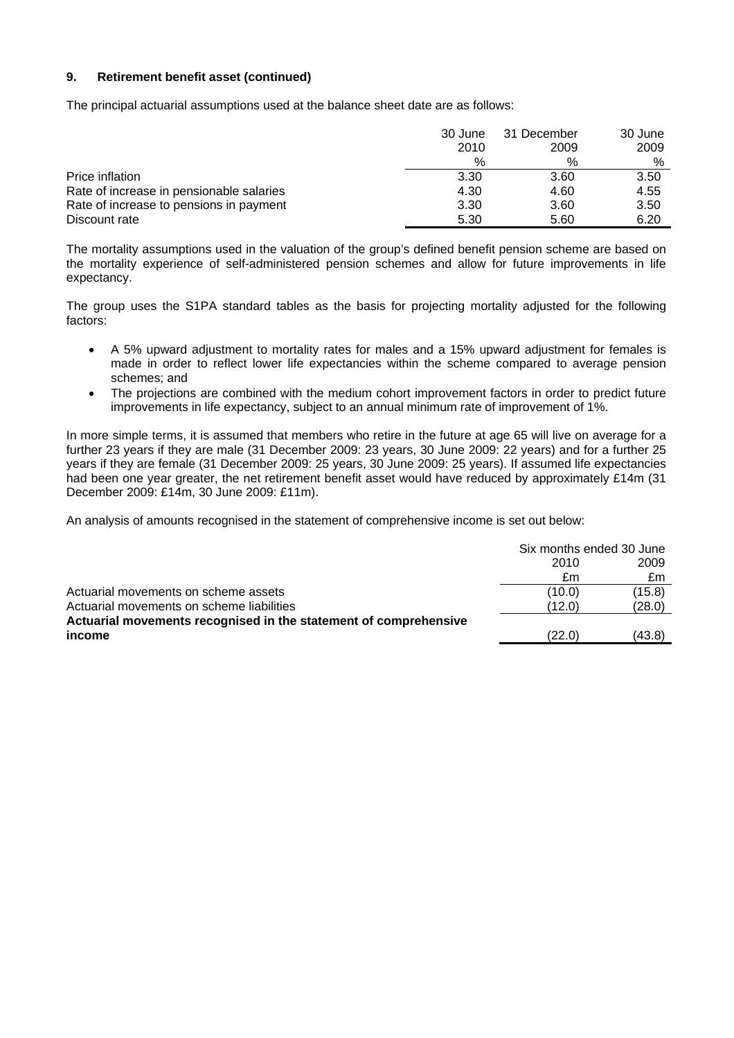# **9. Retirement benefit asset (continued)**

The principal actuarial assumptions used at the balance sheet date are as follows:

|                                          | 30 June | 31 December | 30 June |
|------------------------------------------|---------|-------------|---------|
|                                          | 2010    | 2009        | 2009    |
|                                          | %       | %           | $\%$    |
| Price inflation                          | 3.30    | 3.60        | 3.50    |
| Rate of increase in pensionable salaries | 4.30    | 4.60        | 4.55    |
| Rate of increase to pensions in payment  | 3.30    | 3.60        | 3.50    |
| Discount rate                            | 5.30    | 5.60        | 6.20    |

The mortality assumptions used in the valuation of the group's defined benefit pension scheme are based on the mortality experience of self-administered pension schemes and allow for future improvements in life expectancy.

The group uses the S1PA standard tables as the basis for projecting mortality adjusted for the following factors:

- A 5% upward adjustment to mortality rates for males and a 15% upward adjustment for females is made in order to reflect lower life expectancies within the scheme compared to average pension schemes; and
- The projections are combined with the medium cohort improvement factors in order to predict future improvements in life expectancy, subject to an annual minimum rate of improvement of 1%.

In more simple terms, it is assumed that members who retire in the future at age 65 will live on average for a further 23 years if they are male (31 December 2009: 23 years, 30 June 2009: 22 years) and for a further 25 years if they are female (31 December 2009: 25 years, 30 June 2009: 25 years). If assumed life expectancies had been one year greater, the net retirement benefit asset would have reduced by approximately £14m (31 December 2009: £14m, 30 June 2009: £11m).

An analysis of amounts recognised in the statement of comprehensive income is set out below:

| 2009   |
|--------|
|        |
| £m     |
| (15.8) |
| (28.0) |
|        |
| (43.8) |
|        |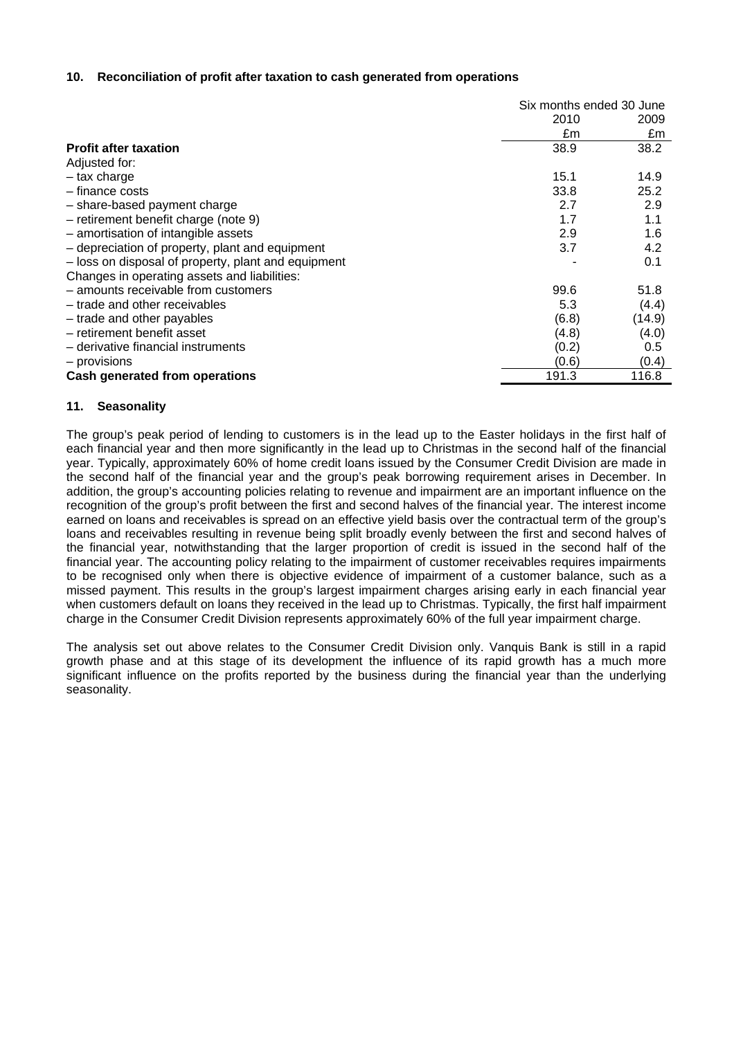# **10. Reconciliation of profit after taxation to cash generated from operations**

|                                                     | Six months ended 30 June |        |
|-----------------------------------------------------|--------------------------|--------|
|                                                     | 2010                     | 2009   |
|                                                     | £m                       | £m     |
| <b>Profit after taxation</b>                        | 38.9                     | 38.2   |
| Adjusted for:                                       |                          |        |
| $-$ tax charge                                      | 15.1                     | 14.9   |
| - finance costs                                     | 33.8                     | 25.2   |
| - share-based payment charge                        | 2.7                      | 2.9    |
| - retirement benefit charge (note 9)                | 1.7                      | 1.1    |
| - amortisation of intangible assets                 | 2.9                      | 1.6    |
| - depreciation of property, plant and equipment     | 3.7                      | 4.2    |
| - loss on disposal of property, plant and equipment |                          | 0.1    |
| Changes in operating assets and liabilities:        |                          |        |
| - amounts receivable from customers                 | 99.6                     | 51.8   |
| - trade and other receivables                       | 5.3                      | (4.4)  |
| - trade and other payables                          | (6.8)                    | (14.9) |
| - retirement benefit asset                          | (4.8)                    | (4.0)  |
| - derivative financial instruments                  | (0.2)                    | 0.5    |
| - provisions                                        | (0.6)                    | (0.4)  |
| <b>Cash generated from operations</b>               | 191.3                    | 116.8  |

### **11. Seasonality**

The group's peak period of lending to customers is in the lead up to the Easter holidays in the first half of each financial year and then more significantly in the lead up to Christmas in the second half of the financial year. Typically, approximately 60% of home credit loans issued by the Consumer Credit Division are made in the second half of the financial year and the group's peak borrowing requirement arises in December. In addition, the group's accounting policies relating to revenue and impairment are an important influence on the recognition of the group's profit between the first and second halves of the financial year. The interest income earned on loans and receivables is spread on an effective yield basis over the contractual term of the group's loans and receivables resulting in revenue being split broadly evenly between the first and second halves of the financial year, notwithstanding that the larger proportion of credit is issued in the second half of the financial year. The accounting policy relating to the impairment of customer receivables requires impairments to be recognised only when there is objective evidence of impairment of a customer balance, such as a missed payment. This results in the group's largest impairment charges arising early in each financial year when customers default on loans they received in the lead up to Christmas. Typically, the first half impairment charge in the Consumer Credit Division represents approximately 60% of the full year impairment charge.

The analysis set out above relates to the Consumer Credit Division only. Vanquis Bank is still in a rapid growth phase and at this stage of its development the influence of its rapid growth has a much more significant influence on the profits reported by the business during the financial year than the underlying seasonality.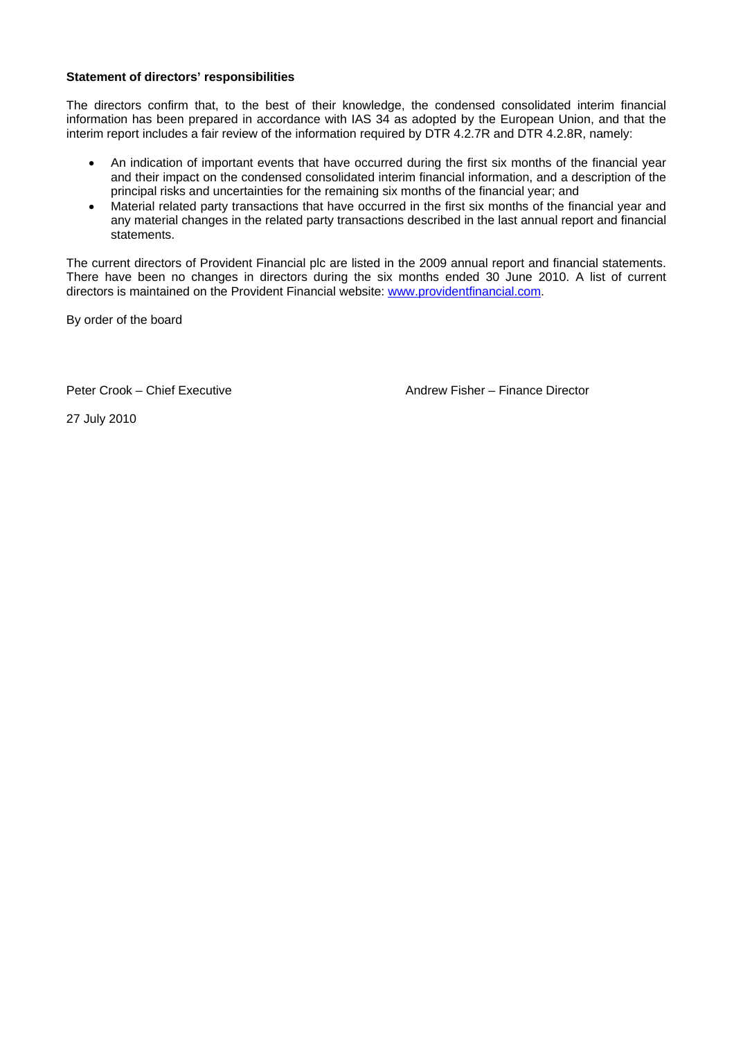# **Statement of directors' responsibilities**

The directors confirm that, to the best of their knowledge, the condensed consolidated interim financial information has been prepared in accordance with IAS 34 as adopted by the European Union, and that the interim report includes a fair review of the information required by DTR 4.2.7R and DTR 4.2.8R, namely:

- An indication of important events that have occurred during the first six months of the financial year and their impact on the condensed consolidated interim financial information, and a description of the principal risks and uncertainties for the remaining six months of the financial year; and
- Material related party transactions that have occurred in the first six months of the financial year and any material changes in the related party transactions described in the last annual report and financial statements.

The current directors of Provident Financial plc are listed in the 2009 annual report and financial statements. There have been no changes in directors during the six months ended 30 June 2010. A list of current directors is maintained on the Provident Financial website: [www.providentfinancial.com.](http://www.providentfinancial.com/)

By order of the board

Peter Crook – Chief Executive Andrew Fisher – Finance Director

27 July 2010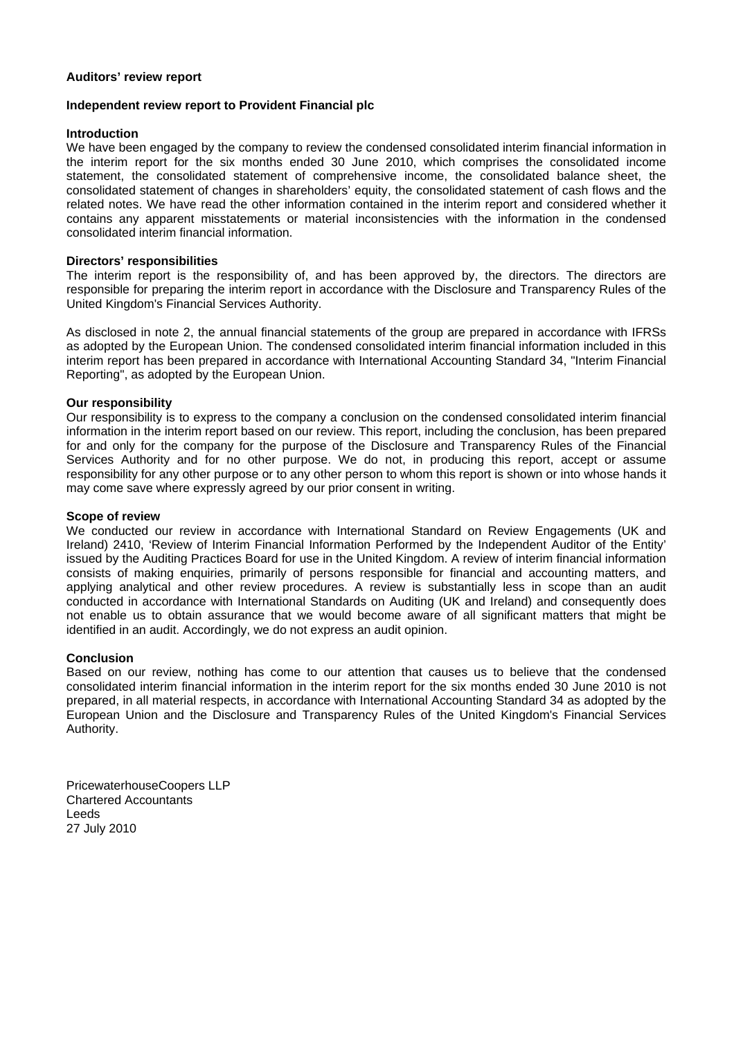### **Auditors' review report**

### **Independent review report to Provident Financial plc**

### **Introduction**

We have been engaged by the company to review the condensed consolidated interim financial information in the interim report for the six months ended 30 June 2010, which comprises the consolidated income statement, the consolidated statement of comprehensive income, the consolidated balance sheet, the consolidated statement of changes in shareholders' equity, the consolidated statement of cash flows and the related notes. We have read the other information contained in the interim report and considered whether it contains any apparent misstatements or material inconsistencies with the information in the condensed consolidated interim financial information.

# **Directors' responsibilities**

The interim report is the responsibility of, and has been approved by, the directors. The directors are responsible for preparing the interim report in accordance with the Disclosure and Transparency Rules of the United Kingdom's Financial Services Authority.

As disclosed in note 2, the annual financial statements of the group are prepared in accordance with IFRSs as adopted by the European Union. The condensed consolidated interim financial information included in this interim report has been prepared in accordance with International Accounting Standard 34, "Interim Financial Reporting", as adopted by the European Union.

### **Our responsibility**

Our responsibility is to express to the company a conclusion on the condensed consolidated interim financial information in the interim report based on our review. This report, including the conclusion, has been prepared for and only for the company for the purpose of the Disclosure and Transparency Rules of the Financial Services Authority and for no other purpose. We do not, in producing this report, accept or assume responsibility for any other purpose or to any other person to whom this report is shown or into whose hands it may come save where expressly agreed by our prior consent in writing.

### **Scope of review**

We conducted our review in accordance with International Standard on Review Engagements (UK and Ireland) 2410, 'Review of Interim Financial Information Performed by the Independent Auditor of the Entity' issued by the Auditing Practices Board for use in the United Kingdom. A review of interim financial information consists of making enquiries, primarily of persons responsible for financial and accounting matters, and applying analytical and other review procedures. A review is substantially less in scope than an audit conducted in accordance with International Standards on Auditing (UK and Ireland) and consequently does not enable us to obtain assurance that we would become aware of all significant matters that might be identified in an audit. Accordingly, we do not express an audit opinion.

### **Conclusion**

Based on our review, nothing has come to our attention that causes us to believe that the condensed consolidated interim financial information in the interim report for the six months ended 30 June 2010 is not prepared, in all material respects, in accordance with International Accounting Standard 34 as adopted by the European Union and the Disclosure and Transparency Rules of the United Kingdom's Financial Services Authority.

PricewaterhouseCoopers LLP Chartered Accountants Leeds 27 July 2010